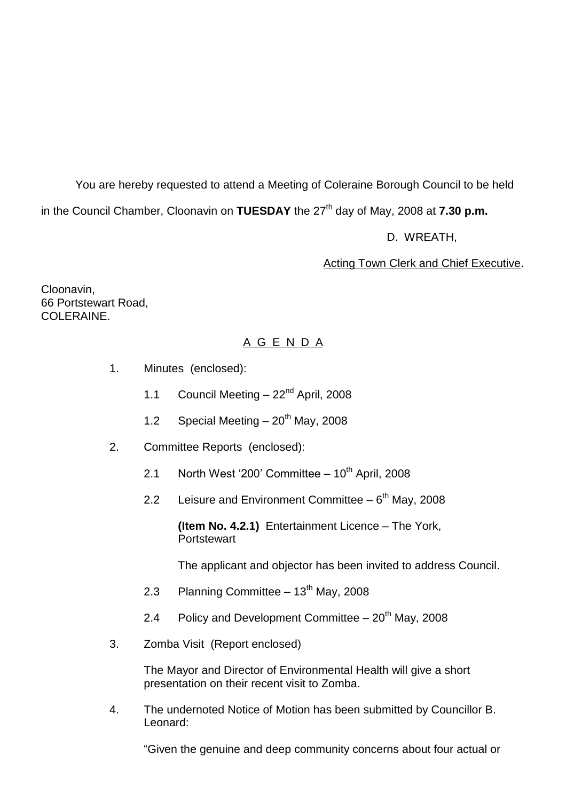You are hereby requested to attend a Meeting of Coleraine Borough Council to be held in the Council Chamber, Cloonavin on **TUESDAY** the 27<sup>th</sup> day of May, 2008 at **7.30 p.m.** 

D. WREATH,

## Acting Town Clerk and Chief Executive.

Cloonavin, 66 Portstewart Road, COLERAINE

# A G E N D A

- 1. Minutes (enclosed):
	- 1.1 Council Meeting 22<sup>nd</sup> April, 2008
	- 1.2 Special Meeting  $-20^{th}$  May, 2008
- 2. Committee Reports (enclosed):
	- 2.1 North West '200' Committee  $-10^{th}$  April, 2008
	- 2.2 Leisure and Environment Committee  $-6<sup>th</sup>$  May, 2008

**(Item No. 4.2.1)** Entertainment Licence –The York, **Portstewart** 

The applicant and objector has been invited to address Council.

- 2.3 Planning Committee  $-13<sup>th</sup>$  May, 2008
- 2.4 Policy and Development Committee  $-20<sup>th</sup>$  May, 2008
- 3. Zomba Visit (Report enclosed)

The Mayor and Director of Environmental Health will give a short presentation on their recent visit to Zomba.

4. The undernoted Notice of Motion has been submitted by Councillor B. Leonard:

"Given the genuine and deep community concerns about four actual or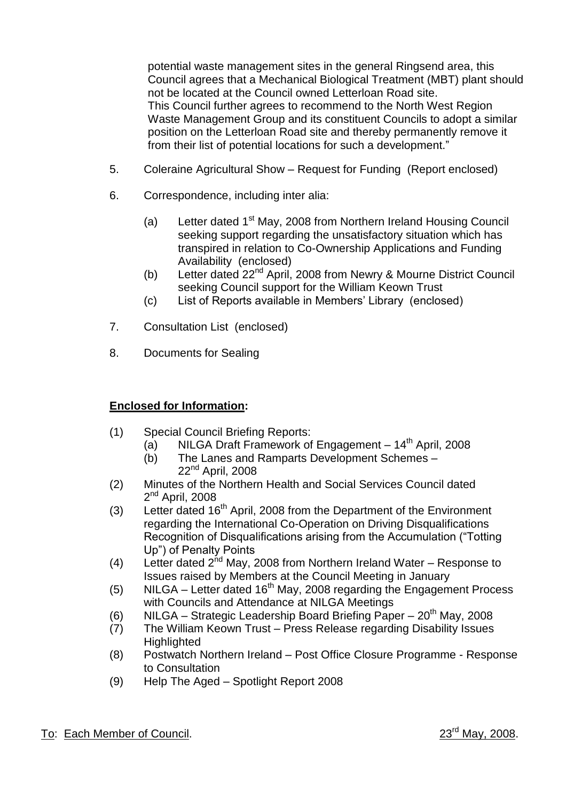potential waste management sites in the general Ringsend area, this Council agrees that a Mechanical Biological Treatment (MBT) plant should not be located at the Council owned Letterloan Road site. This Council further agrees to recommend to the North West Region Waste Management Group and its constituent Councils to adopt a similar position on the Letterloan Road site and thereby permanently remove it from their list of potential locations for such a development."

- 5. Coleraine Agricultural Show Request for Funding (Report enclosed)
- 6. Correspondence, including inter alia:
	- (a) Letter dated 1<sup>st</sup> May, 2008 from Northern Ireland Housing Council seeking support regarding the unsatisfactory situation which has transpired in relation to Co-Ownership Applications and Funding Availability (enclosed)
	- (b) Letter dated 22<sup>nd</sup> April, 2008 from Newry & Mourne District Council seeking Council support for the William Keown Trust
	- (c) List of Reports available in Members' Library (enclosed)
- 7. Consultation List (enclosed)
- 8. Documents for Sealing

#### **Enclosed for Information:**

- (1) Special Council Briefing Reports:
	- (a) NILGA Draft Framework of Engagement  $14<sup>th</sup>$  April, 2008
	- (b) The Lanes and Ramparts Development Schemes 22<sup>nd</sup> April, 2008
- (2) Minutes of the Northern Health and Social Services Council dated 2<sup>nd</sup> April, 2008
- (3) Letter dated  $16<sup>th</sup>$  April, 2008 from the Department of the Environment regarding the International Co-Operation on Driving Disqualifications Recognition of Disqualifications arising from the Accumulation ("Totting") Up") of Penalty Points
- (4) Letter dated  $2^{nd}$  May, 2008 from Northern Ireland Water Response to Issues raised by Members at the Council Meeting in January
- (5) NILGA Letter dated  $16<sup>th</sup>$  May, 2008 regarding the Engagement Process with Councils and Attendance at NILGA Meetings
- (6) NILGA Strategic Leadership Board Briefing Paper  $20^{th}$  May, 2008
- (7) The William Keown Trust Press Release regarding Disability Issues **Highlighted**
- (8) Postwatch Northern Ireland –Post Office Closure Programme Response to Consultation
- (9) Help The Aged –Spotlight Report 2008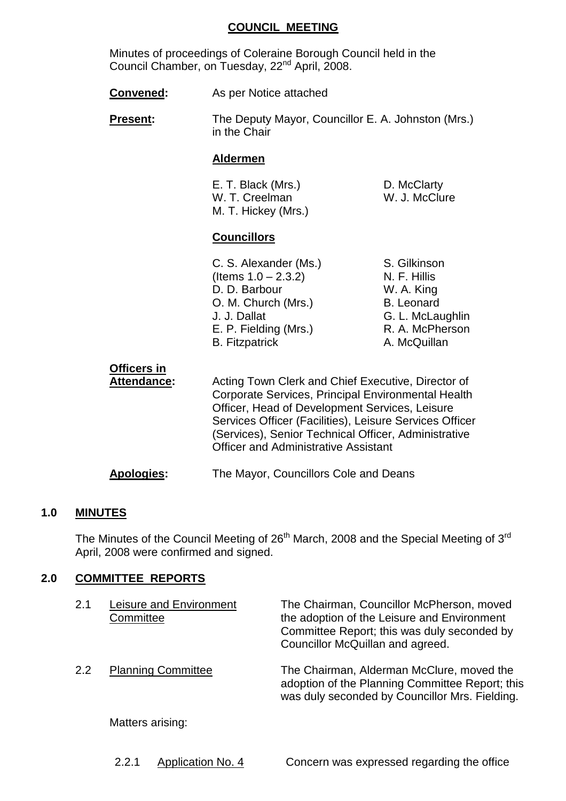#### **COUNCIL MEETING**

Minutes of proceedings of Coleraine Borough Council held in the Council Chamber, on Tuesday, 22<sup>nd</sup> April, 2008.

- **Convened:** As per Notice attached
- **Present:** The Deputy Mayor, Councillor E. A. Johnston (Mrs.) in the Chair

#### **Aldermen**

| E. T. Black (Mrs.)  |  |
|---------------------|--|
| W. T. Creelman      |  |
| M. T. Hickey (Mrs.) |  |

## **Councillors**

C. S. Alexander (Ms.) S. Gilkinson  $($ ltems  $1.0 - 2.3.2)$  N. F. Hillis D. D. Barbour W. A. King O. M. Church (Mrs.) B. Leonard J. J. Dallat G. L. McLaughlin E. P. Fielding (Mrs.) R. A. McPherson B. Fitzpatrick **A. McQuillan** 

D. McClarty W. J. McClure

**Officers in** Attendance: Acting Town Clerk and Chief Executive, Director of Corporate Services, Principal Environmental Health Officer, Head of Development Services, Leisure Services Officer (Facilities), Leisure Services Officer (Services), Senior Technical Officer, Administrative Officer and Administrative Assistant **Apologies:** The Mayor, Councillors Cole and Deans

#### **1.0 MINUTES**

The Minutes of the Council Meeting of  $26<sup>th</sup>$  March, 2008 and the Special Meeting of  $3<sup>rd</sup>$ April, 2008 were confirmed and signed.

# **2.0 COMMITTEE REPORTS**

| 2.1 | Leisure and Environment<br>Committee | The Chairman, Councillor McPherson, moved<br>the adoption of the Leisure and Environment<br>Committee Report; this was duly seconded by<br>Councillor McQuillan and agreed. |
|-----|--------------------------------------|-----------------------------------------------------------------------------------------------------------------------------------------------------------------------------|
| 2.2 | <b>Planning Committee</b>            | The Chairman, Alderman McClure, moved the<br>adoption of the Planning Committee Report; this<br>was duly seconded by Councillor Mrs. Fielding.                              |
|     | Matters arising:                     |                                                                                                                                                                             |

2.2.1 Application No. 4 Concern was expressed regarding the office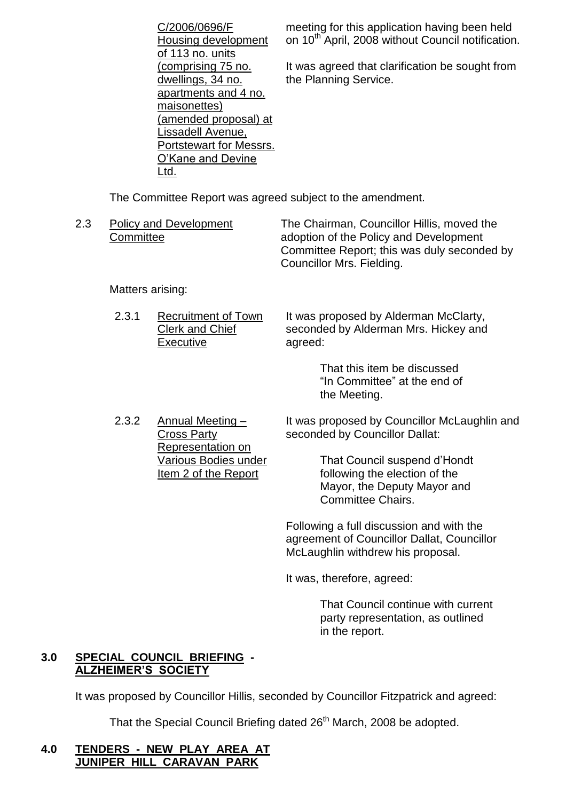|     | C/2006/0696/F<br>Housing development<br>of 113 no. units                                                                                                                                    | meeting for this application having been held<br>on 10 <sup>th</sup> April, 2008 without Council notification.                                                   |
|-----|---------------------------------------------------------------------------------------------------------------------------------------------------------------------------------------------|------------------------------------------------------------------------------------------------------------------------------------------------------------------|
|     | comprising 75 no.<br>dwellings, 34 no.<br>apartments and 4 no.<br>maisonettes)<br>(amended proposal) at<br>Lissadell Avenue,<br><b>Portstewart for Messrs.</b><br>O'Kane and Devine<br>Ltd. | It was agreed that clarification be sought from<br>the Planning Service.                                                                                         |
|     | The Committee Report was agreed subject to the amendment.                                                                                                                                   |                                                                                                                                                                  |
| 2.3 | <b>Policy and Development</b><br>Committee                                                                                                                                                  | The Chairman, Councillor Hillis, moved the<br>adoption of the Policy and Development<br>Committee Report; this was duly seconded by<br>Councillor Mrs. Fielding. |

Matters arising:

2.3.1 Recruitment of Town Clerk and Chief Executive It was proposed by Alderman McClarty, seconded by Alderman Mrs. Hickey and agreed:

> That this item be discussed "In Committee" at the end of the Meeting.

2.3.2 Annual Meeting – Cross Party Representation on Various Bodies under Item 2 of the Report

It was proposed by Councillor McLaughlin and seconded by Councillor Dallat:

> That Council suspend d'Hondt following the election of the Mayor, the Deputy Mayor and Committee Chairs.

Following a full discussion and with the agreement of Councillor Dallat, Councillor McLaughlin withdrew his proposal.

It was, therefore, agreed:

That Council continue with current party representation, as outlined in the report.

## **3.0 SPECIAL COUNCIL BRIEFING - ALZHEIMER'S SOCIETY**

It was proposed by Councillor Hillis, seconded by Councillor Fitzpatrick and agreed:

That the Special Council Briefing dated 26<sup>th</sup> March, 2008 be adopted.

## **4.0 TENDERS - NEW PLAY AREA AT JUNIPER HILL CARAVAN PARK**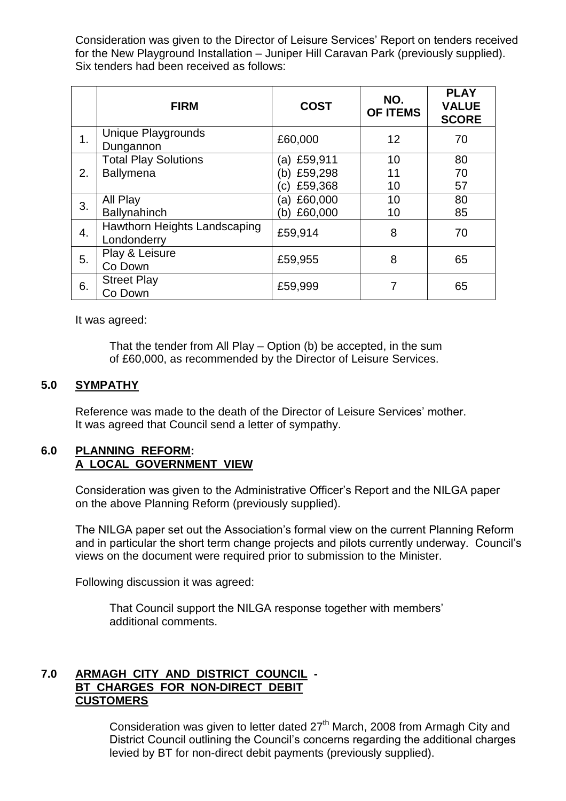Consideration was given to the Director of Leisure Services' Report on tenders received for the New Playground Installation – Juniper Hill Caravan Park (previously supplied). Six tenders had been received as follows:

|    | <b>FIRM</b>                                 | <b>COST</b>    | NO.<br><b>OF ITEMS</b> | <b>PLAY</b><br><b>VALUE</b><br><b>SCORE</b> |
|----|---------------------------------------------|----------------|------------------------|---------------------------------------------|
| 1. | <b>Unique Playgrounds</b><br>Dungannon      | £60,000        | 12                     | 70                                          |
|    | <b>Total Play Solutions</b>                 | (a) £59,911    | 10                     | 80                                          |
| 2. | <b>Ballymena</b>                            | £59,298<br>b)  | 11                     | 70                                          |
|    |                                             | £59,368<br>C)  | 10                     | 57                                          |
| 3. | All Play                                    | £60,000<br>(a) | 10                     | 80                                          |
|    | <b>Ballynahinch</b>                         | £60,000<br>b)  | 10                     | 85                                          |
| 4. | Hawthorn Heights Landscaping<br>Londonderry | £59,914        | 8                      | 70                                          |
| 5. | Play & Leisure<br>Co Down                   | £59,955        | 8                      | 65                                          |
| 6. | <b>Street Play</b><br>Co Down               | £59,999        | 7                      | 65                                          |

It was agreed:

That the tender from All Play  $-$  Option (b) be accepted, in the sum of £60,000, as recommended by the Director of Leisure Services.

#### **5.0 SYMPATHY**

Reference was made to the death of the Director of Leisure Services'mother. It was agreed that Council send a letter of sympathy.

#### **6.0 PLANNING REFORM: A LOCAL GOVERNMENT VIEW**

Consideration was given to the Administrative Officer's Report and the NILGA paper on the above Planning Reform (previously supplied).

The NILGA paper set out the Association's formal view on the current Planning Reform and in particular the short term change projects and pilots currently underway. Council's views on the document were required prior to submission to the Minister.

Following discussion it was agreed:

That Council support the NILGA response together with members' additional comments.

## **7.0 ARMAGH CITY AND DISTRICT COUNCIL - BT CHARGES FOR NON-DIRECT DEBIT CUSTOMERS**

Consideration was given to letter dated  $27<sup>th</sup>$  March, 2008 from Armagh City and District Council outlining the Council's concerns regarding the additional charges levied by BT for non-direct debit payments (previously supplied).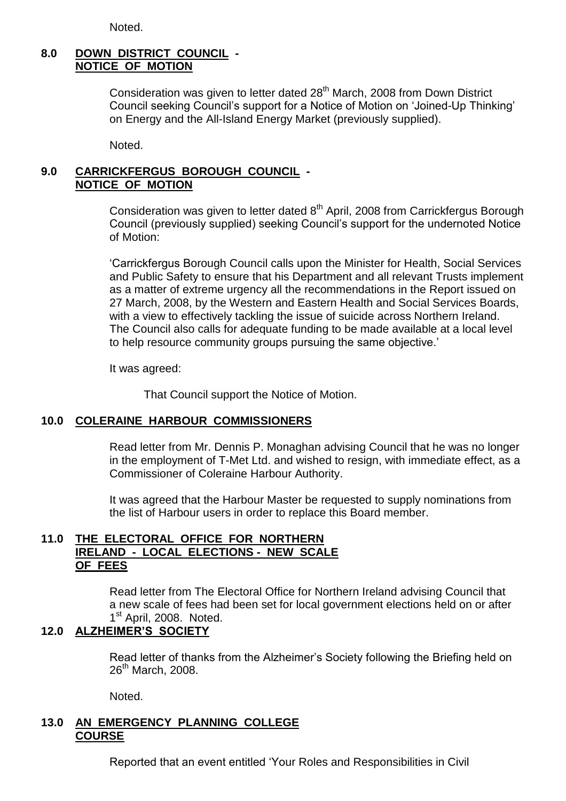Noted.

# **8.0 DOWN DISTRICT COUNCIL - NOTICE OF MOTION**

Consideration was given to letter dated  $28<sup>th</sup>$  March, 2008 from Down District Council seeking Council's support for a Notice of Motion on 'Joined-Up Thinking' on Energy and the All-Island Energy Market (previously supplied).

Noted.

## **9.0 CARRICKFERGUS BOROUGH COUNCIL - NOTICE OF MOTION**

Consideration was given to letter dated 8<sup>th</sup> April, 2008 from Carrickfergus Borough Council (previously supplied) seeking Council's support for the undernoted Notice of Motion:

'Carrickfergus Borough Council calls upon the Minister for Health, Social Services and Public Safety to ensure that his Department and all relevant Trusts implement as a matter of extreme urgency all the recommendations in the Report issued on 27 March, 2008, by the Western and Eastern Health and Social Services Boards, with a view to effectively tackling the issue of suicide across Northern Ireland. The Council also calls for adequate funding to be made available at a local level to help resource community groups pursuing the same objective.'

It was agreed:

That Council support the Notice of Motion.

# **10.0 COLERAINE HARBOUR COMMISSIONERS**

Read letter from Mr. Dennis P. Monaghan advising Council that he was no longer in the employment of T-Met Ltd. and wished to resign, with immediate effect, as a Commissioner of Coleraine Harbour Authority.

It was agreed that the Harbour Master be requested to supply nominations from the list of Harbour users in order to replace this Board member.

#### **11.0 THE ELECTORAL OFFICE FOR NORTHERN IRELAND - LOCAL ELECTIONS - NEW SCALE OF FEES**

Read letter from The Electoral Office for Northern Ireland advising Council that a new scale of fees had been set for local government elections held on or after 1<sup>st</sup> April, 2008. Noted.

# **12.0 ALZHEIMER'S SOCIETY**

Read letter of thanks from the Alzheimer's Society following the Briefing held on  $26<sup>th</sup>$  March, 2008.

Noted.

# **13.0 AN EMERGENCY PLANNING COLLEGE COURSE**

Reported that an event entitled 'Your Roles and Responsibilities in Civil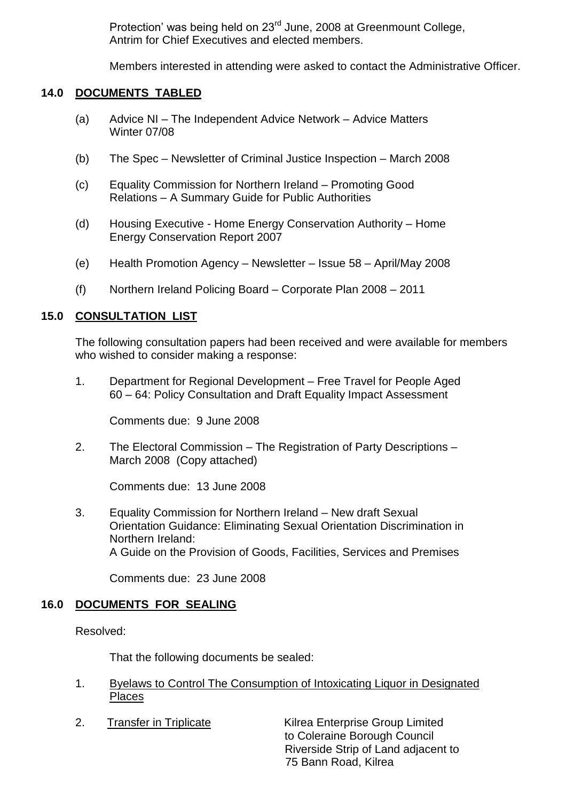Protection' was being held on 23<sup>rd</sup> June, 2008 at Greenmount College, Antrim for Chief Executives and elected members.

Members interested in attending were asked to contact the Administrative Officer.

## **14.0 DOCUMENTS TABLED**

- (a) Advice NI The Independent Advice Network Advice Matters Winter 07/08
- (b) The Spec Newsletter of Criminal Justice Inspection March 2008
- (c) Equality Commission for Northern Ireland Promoting Good Relations –A Summary Guide for Public Authorities
- (d) Housing Executive Home Energy Conservation Authority Home Energy Conservation Report 2007
- (e) Health Promotion Agency Newsletter Issue 58 April/May 2008
- (f) Northern Ireland Policing Board –Corporate Plan 2008 –2011

## **15.0 CONSULTATION LIST**

The following consultation papers had been received and were available for members who wished to consider making a response:

1. Department for Regional Development –Free Travel for People Aged 60 –64: Policy Consultation and Draft Equality Impact Assessment

Comments due: 9 June 2008

2. The Electoral Commission – The Registration of Party Descriptions – March 2008 (Copy attached)

Comments due: 13 June 2008

3. Equality Commission for Northern Ireland – New draft Sexual Orientation Guidance: Eliminating Sexual Orientation Discrimination in Northern Ireland: A Guide on the Provision of Goods, Facilities, Services and Premises

Comments due: 23 June 2008

# **16.0 DOCUMENTS FOR SEALING**

Resolved:

That the following documents be sealed:

- 1. Byelaws to Control The Consumption of Intoxicating Liquor in Designated Places
- 

2. Transfer in Triplicate Kilrea Enterprise Group Limited to Coleraine Borough Council Riverside Strip of Land adjacent to 75 Bann Road, Kilrea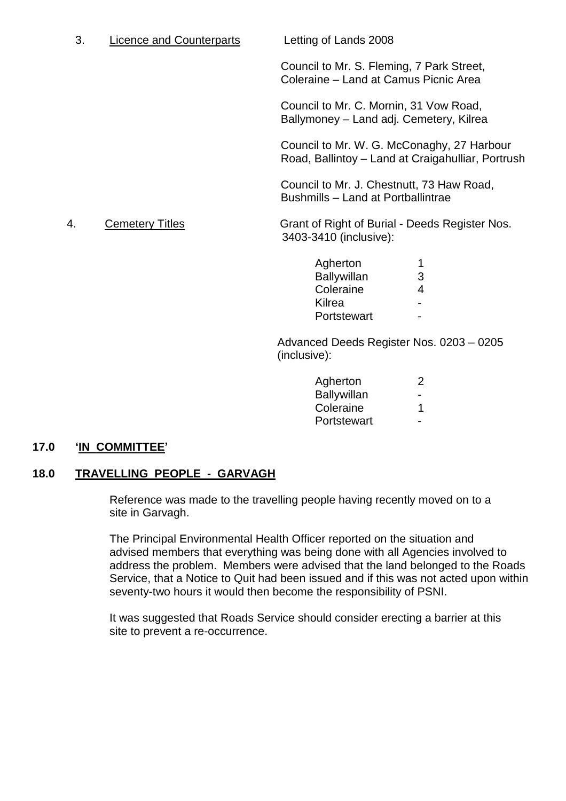| Licence and Counterparts |
|--------------------------|
|--------------------------|

Letting of Lands 2008

Council to Mr. S. Fleming, 7 Park Street, Coleraine –Land at Camus Picnic Area

Council to Mr. C. Mornin, 31 Vow Road, Ballymoney –Land adj. Cemetery, Kilrea

Council to Mr. W. G. McConaghy, 27 Harbour Road, Ballintoy –Land at Craigahulliar, Portrush

Council to Mr. J. Chestnutt, 73 Haw Road, Bushmills –Land at Portballintrae

4. Cemetery Titles Grant of Right of Burial - Deeds Register Nos. 3403-3410 (inclusive):

| Agherton           | 1 |
|--------------------|---|
| <b>Ballywillan</b> | З |
| Coleraine          | 4 |
| Kilrea             |   |
| Portstewart        |   |

Advanced Deeds Register Nos. 0203 –0205 (inclusive):

| Agherton    | ン |
|-------------|---|
| Ballywillan |   |
| Coleraine   | 1 |
| Portstewart |   |

# **17.0 'IN COMMITTEE'**

#### **18.0 TRAVELLING PEOPLE - GARVAGH**

Reference was made to the travelling people having recently moved on to a site in Garvagh.

The Principal Environmental Health Officer reported on the situation and advised members that everything was being done with all Agencies involved to address the problem. Members were advised that the land belonged to the Roads Service, that a Notice to Quit had been issued and if this was not acted upon within seventy-two hours it would then become the responsibility of PSNI.

It was suggested that Roads Service should consider erecting a barrier at this site to prevent a re-occurrence.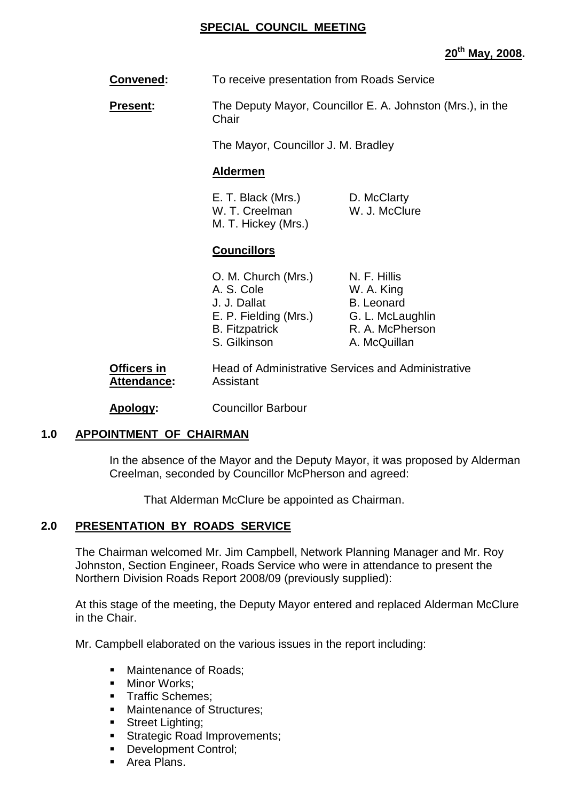#### **SPECIAL COUNCIL MEETING**

# **20th May, 2008.**

**Convened:** To receive presentation from Roads Service

**Present:** The Deputy Mayor, Councillor E. A. Johnston (Mrs.), in the **Chair** 

The Mayor, Councillor J. M. Bradley

#### **Aldermen**

E. T. Black (Mrs.) D. McClarty W. T. Creelman W. J. McClure M. T. Hickey (Mrs.)

## **Councillors**

| O. M. Church (Mrs.)   | N. F. Hillis      |
|-----------------------|-------------------|
| A. S. Cole            | W. A. King        |
| J. J. Dallat          | <b>B.</b> Leonard |
| E. P. Fielding (Mrs.) | G. L. McLaughlin  |
| <b>B.</b> Fitzpatrick | R. A. McPherson   |
| S. Gilkinson          | A. McQuillan      |
|                       |                   |

**Officers in** Head of Administrative Services and Administrative **Attendance:** Assistant

**Apology:** Councillor Barbour

#### **1.0 APPOINTMENT OF CHAIRMAN**

In the absence of the Mayor and the Deputy Mayor, it was proposed by Alderman Creelman, seconded by Councillor McPherson and agreed:

That Alderman McClure be appointed as Chairman.

#### **2.0 PRESENTATION BY ROADS SERVICE**

The Chairman welcomed Mr. Jim Campbell, Network Planning Manager and Mr. Roy Johnston, Section Engineer, Roads Service who were in attendance to present the Northern Division Roads Report 2008/09 (previously supplied):

At this stage of the meeting, the Deputy Mayor entered and replaced Alderman McClure in the Chair.

Mr. Campbell elaborated on the various issues in the report including:

- Maintenance of Roads:
- **Minor Works:**
- **Traffic Schemes:**
- **Maintenance of Structures:**
- **Street Lighting;**
- Strategic Road Improvements;
- Development Control;
- **Area Plans.**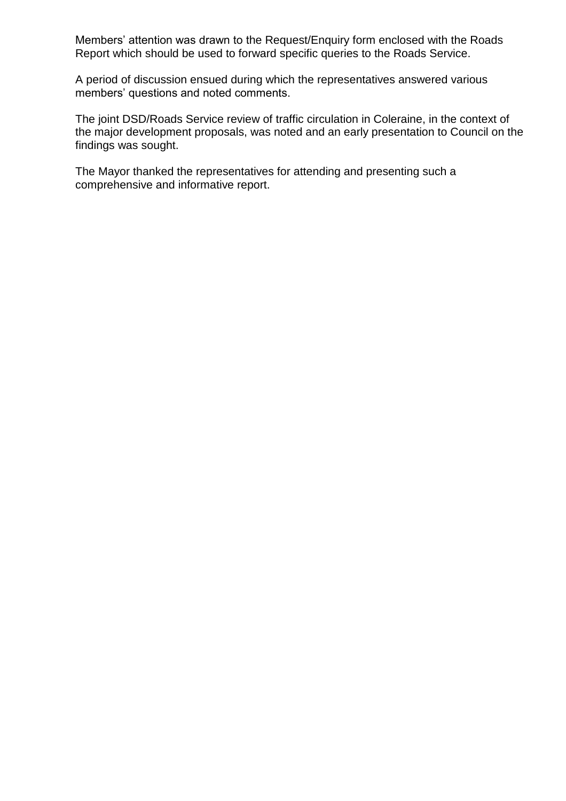Members' attention was drawn to the Request/Enquiry form enclosed with the Roads Report which should be used to forward specific queries to the Roads Service.

A period of discussion ensued during which the representatives answered various members' questions and noted comments.

The joint DSD/Roads Service review of traffic circulation in Coleraine, in the context of the major development proposals, was noted and an early presentation to Council on the findings was sought.

The Mayor thanked the representatives for attending and presenting such a comprehensive and informative report.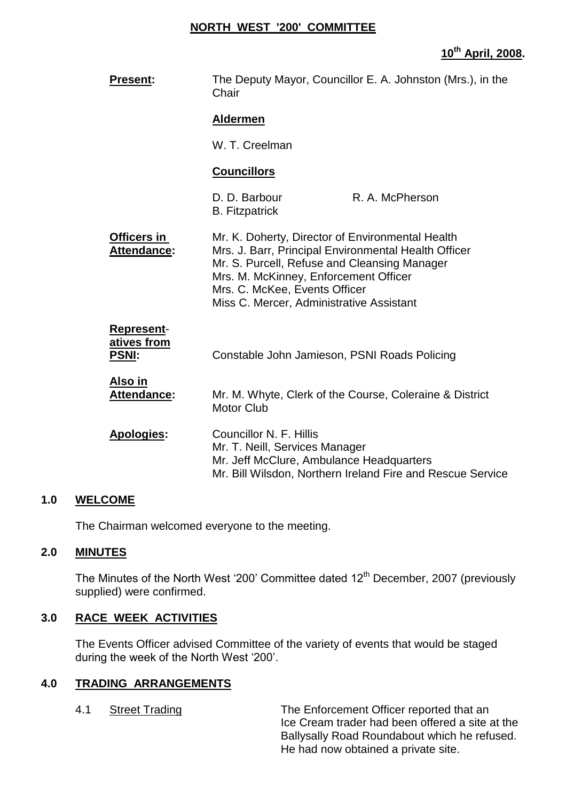#### **NORTH WEST '200' COMMITTEE**

## **10th April, 2008.**

| <b>Present:</b>                           | The Deputy Mayor, Councillor E. A. Johnston (Mrs.), in the<br>Chair                                                                                                                                                                                                            |                                                            |
|-------------------------------------------|--------------------------------------------------------------------------------------------------------------------------------------------------------------------------------------------------------------------------------------------------------------------------------|------------------------------------------------------------|
|                                           | <b>Aldermen</b>                                                                                                                                                                                                                                                                |                                                            |
|                                           | W. T. Creelman                                                                                                                                                                                                                                                                 |                                                            |
|                                           | <b>Councillors</b>                                                                                                                                                                                                                                                             |                                                            |
|                                           | D. D. Barbour<br><b>B.</b> Fitzpatrick                                                                                                                                                                                                                                         | R. A. McPherson                                            |
| <b>Officers in</b><br>Attendance:         | Mr. K. Doherty, Director of Environmental Health<br>Mrs. J. Barr, Principal Environmental Health Officer<br>Mr. S. Purcell, Refuse and Cleansing Manager<br>Mrs. M. McKinney, Enforcement Officer<br>Mrs. C. McKee, Events Officer<br>Miss C. Mercer, Administrative Assistant |                                                            |
| Represent-<br>atives from<br><u>PSNI:</u> | Constable John Jamieson, PSNI Roads Policing                                                                                                                                                                                                                                   |                                                            |
| <u>Also in</u><br><b>Attendance:</b>      | <b>Motor Club</b>                                                                                                                                                                                                                                                              | Mr. M. Whyte, Clerk of the Course, Coleraine & District    |
| Apologies:                                | Councillor N. F. Hillis<br>Mr. T. Neill, Services Manager<br>Mr. Jeff McClure, Ambulance Headquarters                                                                                                                                                                          | Mr. Bill Wilsdon, Northern Ireland Fire and Rescue Service |

#### **1.0 WELCOME**

The Chairman welcomed everyone to the meeting.

## **2.0 MINUTES**

The Minutes of the North West '200' Committee dated 12<sup>th</sup> December, 2007 (previously supplied) were confirmed.

#### **3.0 RACE WEEK ACTIVITIES**

The Events Officer advised Committee of the variety of events that would be staged during the week of the North West '200'.

#### **4.0 TRADING ARRANGEMENTS**

4.1 Street Trading The Enforcement Officer reported that an Ice Cream trader had been offered a site at the Ballysally Road Roundabout which he refused. He had now obtained a private site.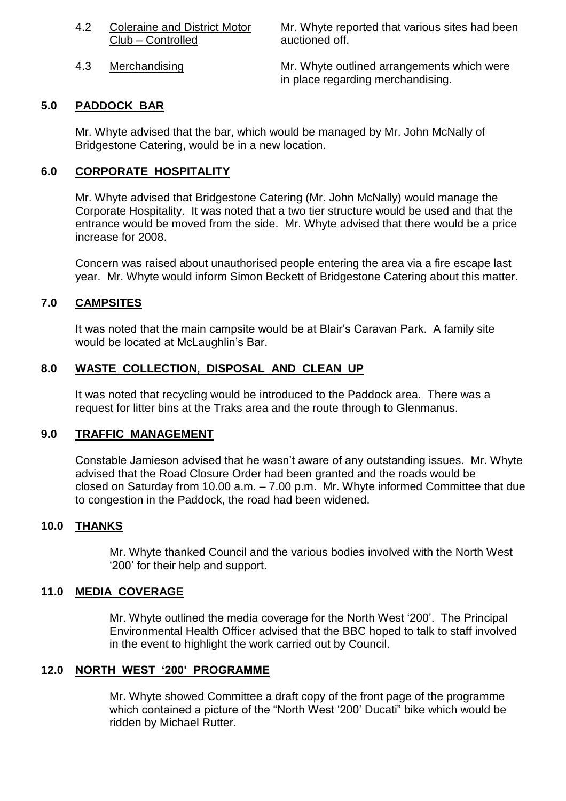| 4.2 | <b>Coleraine and District Motor</b> |
|-----|-------------------------------------|
|     | Club - Controlled                   |

Mr. Whyte reported that various sites had been auctioned off.

4.3 Merchandising Mr. Whyte outlined arrangements which were in place regarding merchandising.

#### **5.0 PADDOCK BAR**

Mr. Whyte advised that the bar, which would be managed by Mr. John McNally of Bridgestone Catering, would be in a new location.

#### **6.0 CORPORATE HOSPITALITY**

Mr. Whyte advised that Bridgestone Catering (Mr. John McNally) would manage the Corporate Hospitality. It was noted that a two tier structure would be used and that the entrance would be moved from the side. Mr. Whyte advised that there would be a price increase for 2008.

Concern was raised about unauthorised people entering the area via a fire escape last year. Mr. Whyte would inform Simon Beckett of Bridgestone Catering about this matter.

## **7.0 CAMPSITES**

It was noted that the main campsite would be at Blair's Caravan Park. A family site would be located at McLaughlin's Bar.

#### **8.0 WASTE COLLECTION, DISPOSAL AND CLEAN UP**

It was noted that recycling would be introduced to the Paddock area. There was a request for litter bins at the Traks area and the route through to Glenmanus.

#### **9.0 TRAFFIC MANAGEMENT**

Constable Jamieson advised that he wasn't aware of any outstanding issues. Mr. Whyte advised that the Road Closure Order had been granted and the roads would be closed on Saturday from 10.00 a.m. –7.00 p.m. Mr. Whyte informed Committee that due to congestion in the Paddock, the road had been widened.

#### **10.0 THANKS**

Mr. Whyte thanked Council and the various bodies involved with the North West '200' for their help and support.

#### **11.0 MEDIA COVERAGE**

Mr. Whyte outlined the media coverage for the North West '200'. The Principal Environmental Health Officer advised that the BBC hoped to talk to staff involved in the event to highlight the work carried out by Council.

#### **12.0 NORTH WEST'200'PROGRAMME**

Mr. Whyte showed Committee a draft copy of the front page of the programme which contained a picture of the "North West '200' Ducati" bike which would be ridden by Michael Rutter.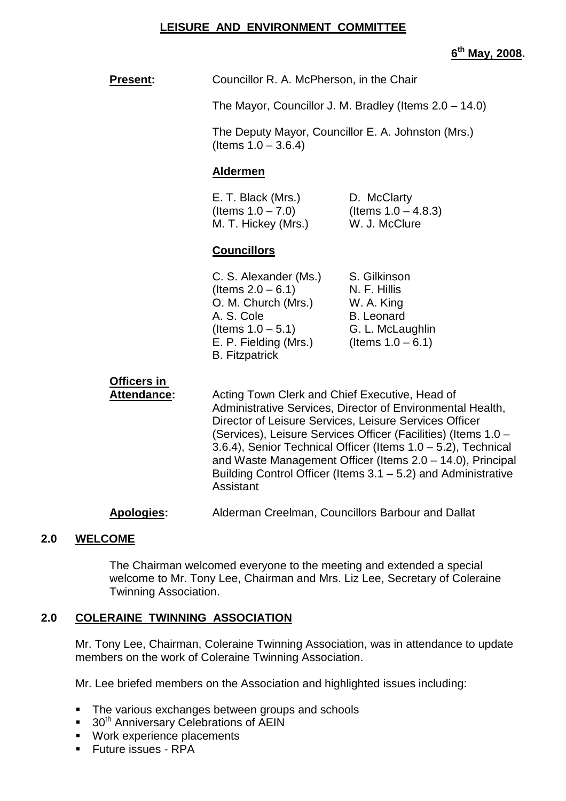#### **LEISURE AND ENVIRONMENT COMMITTEE**

**6 th May, 2008.**

| <u>Present:</u>            | Councillor R. A. McPherson, in the Chair                                                                                                                                                                                                                                                                                                                                                                                                 |                                                                                                             |  |
|----------------------------|------------------------------------------------------------------------------------------------------------------------------------------------------------------------------------------------------------------------------------------------------------------------------------------------------------------------------------------------------------------------------------------------------------------------------------------|-------------------------------------------------------------------------------------------------------------|--|
|                            | The Mayor, Councillor J. M. Bradley (Items 2.0 - 14.0)                                                                                                                                                                                                                                                                                                                                                                                   |                                                                                                             |  |
|                            | (Items $1.0 - 3.6.4$ )                                                                                                                                                                                                                                                                                                                                                                                                                   | The Deputy Mayor, Councillor E. A. Johnston (Mrs.)                                                          |  |
|                            | <b>Aldermen</b>                                                                                                                                                                                                                                                                                                                                                                                                                          |                                                                                                             |  |
|                            | E. T. Black (Mrs.)<br>D. McClarty<br>(Items $1.0 - 7.0$ )<br>(Items $1.0 - 4.8.3$ )<br>M. T. Hickey (Mrs.)<br>W. J. McClure                                                                                                                                                                                                                                                                                                              |                                                                                                             |  |
|                            | <b>Councillors</b>                                                                                                                                                                                                                                                                                                                                                                                                                       |                                                                                                             |  |
|                            | C. S. Alexander (Ms.)<br>(Items $2.0 - 6.1$ )<br>O. M. Church (Mrs.)<br>A. S. Cole<br>(Items $1.0 - 5.1$ )<br>E. P. Fielding (Mrs.)<br><b>B.</b> Fitzpatrick                                                                                                                                                                                                                                                                             | S. Gilkinson<br>N. F. Hillis<br>W. A. King<br><b>B.</b> Leonard<br>G. L. McLaughlin<br>(Items $1.0 - 6.1$ ) |  |
| Officers in<br>Attendance: | Acting Town Clerk and Chief Executive, Head of<br>Administrative Services, Director of Environmental Health,<br>Director of Leisure Services, Leisure Services Officer<br>(Services), Leisure Services Officer (Facilities) (Items 1.0 -<br>3.6.4), Senior Technical Officer (Items 1.0 - 5.2), Technical<br>and Waste Management Officer (Items 2.0 - 14.0), Principal<br>Building Control Officer (Items 3.1 – 5.2) and Administrative |                                                                                                             |  |

**Apologies:** Alderman Creelman, Councillors Barbour and Dallat

Assistant

#### **2.0 WELCOME**

The Chairman welcomed everyone to the meeting and extended a special welcome to Mr. Tony Lee, Chairman and Mrs. Liz Lee, Secretary of Coleraine Twinning Association.

#### **2.0 COLERAINE TWINNING ASSOCIATION**

Mr. Tony Lee, Chairman, Coleraine Twinning Association, was in attendance to update members on the work of Coleraine Twinning Association.

Mr. Lee briefed members on the Association and highlighted issues including:

- **The various exchanges between groups and schools**
- $\blacksquare$  30<sup>th</sup> Anniversary Celebrations of AEIN
- **Work experience placements**
- Future issues RPA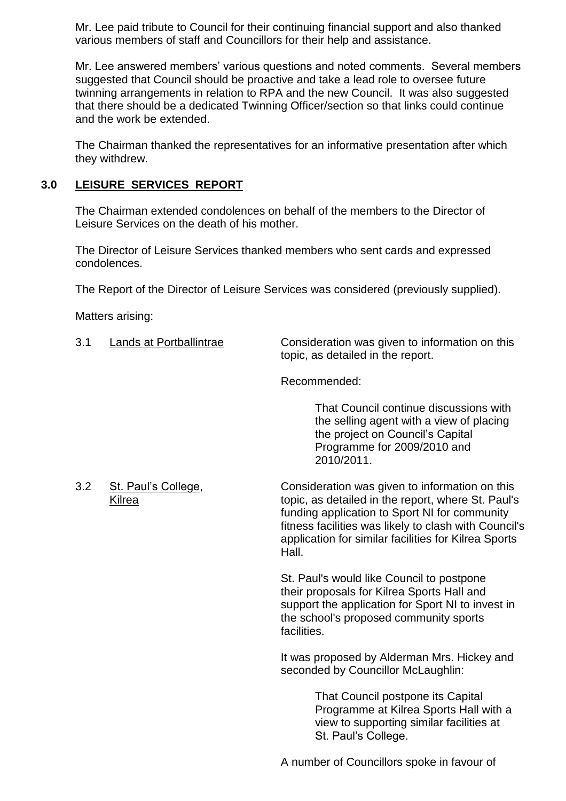Mr. Lee paid tribute to Council for their continuing financial support and also thanked various members of staff and Councillors for their help and assistance.

Mr. Lee answered members' various questions and noted comments. Several members suggested that Council should be proactive and take a lead role to oversee future twinning arrangements in relation to RPA and the new Council. It was also suggested that there should be a dedicated Twinning Officer/section so that links could continue and the work be extended.

The Chairman thanked the representatives for an informative presentation after which they withdrew.

# **3.0 LEISURE SERVICES REPORT**

The Chairman extended condolences on behalf of the members to the Director of Leisure Services on the death of his mother.

The Director of Leisure Services thanked members who sent cards and expressed condolences.

The Report of the Director of Leisure Services was considered (previously supplied).

Matters arising:

| 3.1 | Lands at Portballintrae       | Consideration was given to information on this<br>topic, as detailed in the report.                                                                                                                                                                                             |
|-----|-------------------------------|---------------------------------------------------------------------------------------------------------------------------------------------------------------------------------------------------------------------------------------------------------------------------------|
|     |                               | Recommended:                                                                                                                                                                                                                                                                    |
|     |                               | That Council continue discussions with<br>the selling agent with a view of placing<br>the project on Council's Capital<br>Programme for 2009/2010 and<br>2010/2011.                                                                                                             |
| 3.2 | St. Paul's College,<br>Kilrea | Consideration was given to information on this<br>topic, as detailed in the report, where St. Paul's<br>funding application to Sport NI for community<br>fitness facilities was likely to clash with Council's<br>application for similar facilities for Kilrea Sports<br>Hall. |
|     |                               | St. Paul's would like Council to postpone<br>their proposals for Kilrea Sports Hall and<br>support the application for Sport NI to invest in<br>the school's proposed community sports<br>facilities.                                                                           |
|     |                               | It was proposed by Alderman Mrs. Hickey and<br>seconded by Councillor McLaughlin:                                                                                                                                                                                               |
|     |                               | That Council postpone its Capital<br>Programme at Kilrea Sports Hall with a<br>view to supporting similar facilities at<br>St. Paul's College.                                                                                                                                  |
|     |                               | A number of Councillors spoke in favour of                                                                                                                                                                                                                                      |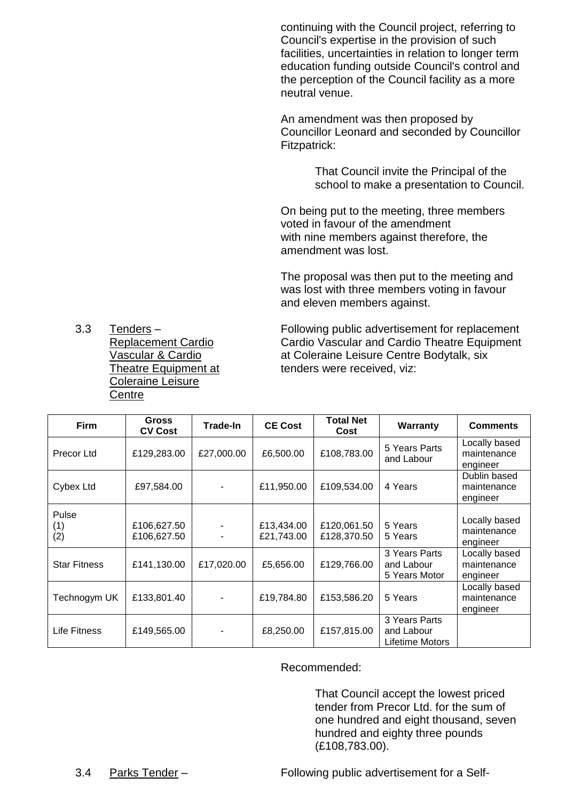continuing with the Council project, referring to Council's expertise in the provision of such facilities, uncertainties in relation to longer term education funding outside Council's control and the perception of the Council facility as a more neutral venue.

An amendment was then proposed by Councillor Leonard and seconded by Councillor Fitzpatrick:

> That Council invite the Principal of the school to make a presentation to Council.

On being put to the meeting, three members voted in favour of the amendment with nine members against therefore, the amendment was lost.

The proposal was then put to the meeting and was lost with three members voting in favour and eleven members against.

Coleraine Leisure **Centre** 

3.3 Tenders – Following public advertisement for replacement Replacement Cardio Cardio Vascular and Cardio Theatre Equipment Vascular & Cardio **Acceleraine Leisure Centre Bodytalk**, six Theatre Equipment at tenders were received, viz:

| <b>Firm</b>         | <b>Gross</b><br><b>CV Cost</b> | <b>Trade-In</b> | <b>CE Cost</b>           | <b>Total Net</b><br>Cost   | <b>Warranty</b>                                | <b>Comments</b>                          |
|---------------------|--------------------------------|-----------------|--------------------------|----------------------------|------------------------------------------------|------------------------------------------|
| Precor Ltd          | £129,283.00                    | £27,000.00      | £6,500.00                | £108,783.00                | 5 Years Parts<br>and Labour                    | Locally based<br>maintenance<br>engineer |
| Cybex Ltd           | £97,584.00                     |                 | £11,950.00               | £109,534.00                | 4 Years                                        | Dublin based<br>maintenance<br>engineer  |
| Pulse<br>(1)<br>(2) | £106,627.50<br>£106,627.50     |                 | £13,434.00<br>£21,743.00 | £120,061.50<br>£128,370.50 | 5 Years<br>5 Years                             | Locally based<br>maintenance<br>engineer |
| <b>Star Fitness</b> | £141,130.00                    | £17,020.00      | £5,656.00                | £129,766.00                | 3 Years Parts<br>and Labour<br>5 Years Motor   | Locally based<br>maintenance<br>engineer |
| Technogym UK        | £133,801.40                    |                 | £19,784.80               | £153,586.20                | 5 Years                                        | Locally based<br>maintenance<br>engineer |
| Life Fitness        | £149,565.00                    |                 | £8,250.00                | £157,815.00                | 3 Years Parts<br>and Labour<br>Lifetime Motors |                                          |

Recommended:

That Council accept the lowest priced tender from Precor Ltd. for the sum of one hundred and eight thousand, seven hundred and eighty three pounds (£108,783.00).

3.4 Parks Tender – Following public advertisement for a Self-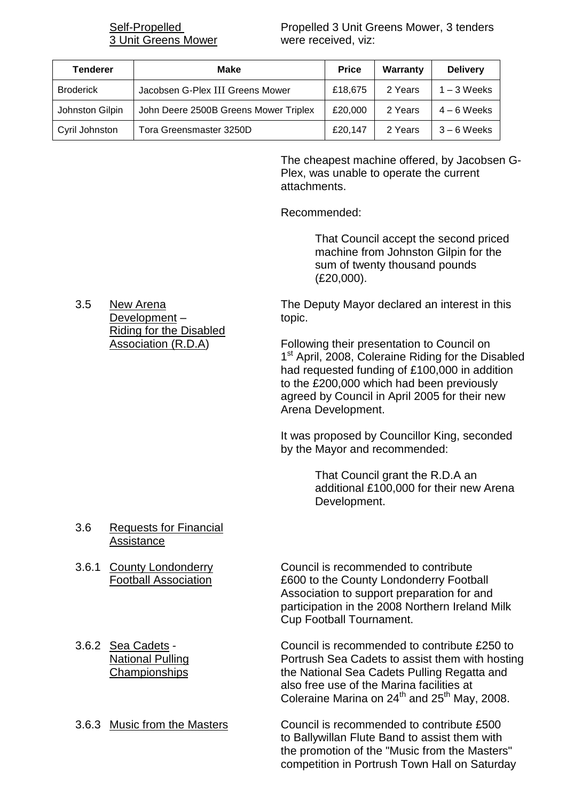3 Unit Greens Mower were received, viz:

Self-Propelled **Propelled 3 Unit Greens Mower**, 3 tenders

| <b>Tenderer</b>  | Make                                  | <b>Price</b> | Warranty | <b>Delivery</b> |
|------------------|---------------------------------------|--------------|----------|-----------------|
| <b>Broderick</b> | Jacobsen G-Plex III Greens Mower      | £18,675      | 2 Years  | $1 - 3$ Weeks   |
| Johnston Gilpin  | John Deere 2500B Greens Mower Triplex | £20,000      | 2 Years  | $4-6$ Weeks     |
| Cyril Johnston   | Tora Greensmaster 3250D               | £20.147      | 2 Years  | $3 - 6$ Weeks   |

The cheapest machine offered, by Jacobsen G-Plex, was unable to operate the current attachments.

Recommended:

That Council accept the second priced machine from Johnston Gilpin for the sum of twenty thousand pounds (£20,000).

3.5 New Arena The Deputy Mayor declared an interest in this

Association (R.D.A) Following their presentation to Council on 1<sup>st</sup> April, 2008, Coleraine Riding for the Disabled had requested funding of £100,000 in addition to the £200,000 which had been previously agreed by Council in April 2005 for their new Arena Development.

> It was proposed by Councillor King, seconded by the Mayor and recommended:

> > That Council grant the R.D.A an additional £100,000 for their new Arena Development.

Development – topic. Riding for the Disabled

- 3.6 Requests for Financial Assistance
- 
- 

3.6.1 County Londonderry Council is recommended to contribute Football Association £600 to the County Londonderry Football Association to support preparation for and participation in the 2008 Northern Ireland Milk Cup Football Tournament.

3.6.2 Sea Cadets - Council is recommended to contribute £250 to National Pulling **Portrush Sea Cadets to assist them with hosting** Championships the National Sea Cadets Pulling Regatta and also free use of the Marina facilities at Coleraine Marina on  $24<sup>th</sup>$  and  $25<sup>th</sup>$  May, 2008.

3.6.3 Music from the Masters Council is recommended to contribute £500 to Ballywillan Flute Band to assist them with the promotion of the "Music from the Masters" competition in Portrush Town Hall on Saturday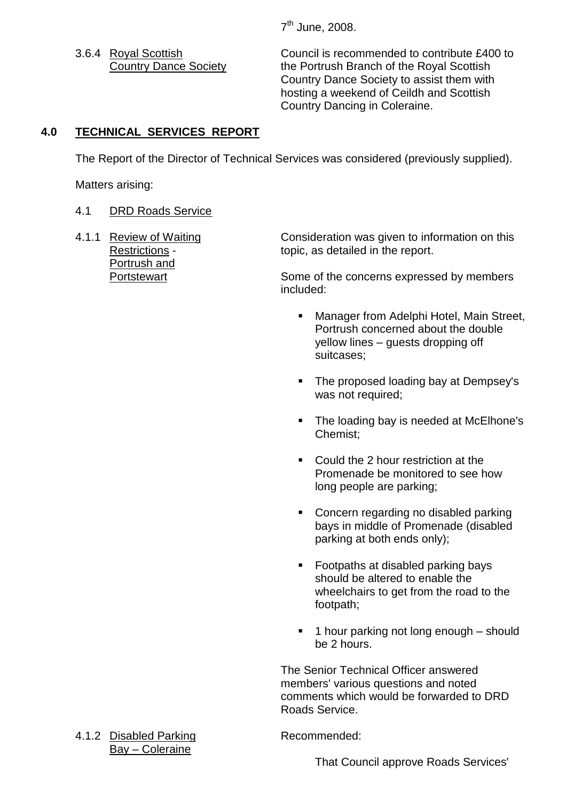7<sup>th</sup> June, 2008.

3.6.4 Royal Scottish Council is recommended to contribute £400 to Country Dance Society the Portrush Branch of the Royal Scottish Country Dance Society to assist them with hosting a weekend of Ceildh and Scottish Country Dancing in Coleraine.

# **4.0 TECHNICAL SERVICES REPORT**

The Report of the Director of Technical Services was considered (previously supplied).

Matters arising:

# 4.1 DRD Roads Service

Portrush and

4.1.1 Review of Waiting Consideration was given to information on this Restrictions - topic, as detailed in the report.

Portstewart **Some of the concerns expressed by members** included:

- **Manager from Adelphi Hotel, Main Street,** Portrush concerned about the double yellow lines – quests dropping off suitcases;
- The proposed loading bay at Dempsey's was not required;
- The loading bay is needed at McElhone's Chemist;
- Could the 2 hour restriction at the Promenade be monitored to see how long people are parking;
- Concern regarding no disabled parking bays in middle of Promenade (disabled parking at both ends only);
- Footpaths at disabled parking bays should be altered to enable the wheelchairs to get from the road to the footpath;
- $\blacksquare$  1 hour parking not long enough should be 2 hours.

The Senior Technical Officer answered members' various questions and noted comments which would be forwarded to DRD Roads Service.

4.1.2 Disabled Parking Recommended: Bay –Coleraine

That Council approve Roads Services'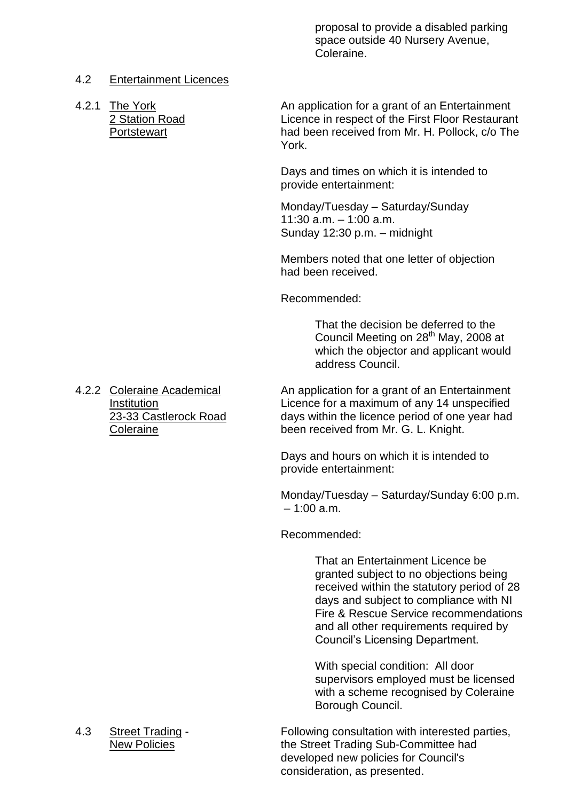proposal to provide a disabled parking space outside 40 Nursery Avenue, Coleraine.

#### 4.2 Entertainment Licences

4.2.1 The York **An application for a grant of an Entertainment** 2 Station Road Licence in respect of the First Floor Restaurant Portstewart had been received from Mr. H. Pollock, c/o The York.

> Days and times on which it is intended to provide entertainment:

Monday/Tuesday - Saturday/Sunday  $11:30$  a.m.  $-1:00$  a.m. Sunday  $12:30$  p.m. – midnight

Members noted that one letter of objection had been received.

Recommended:

That the decision be deferred to the Council Meeting on  $28<sup>th</sup>$  May, 2008 at which the objector and applicant would address Council.

4.2.2 Coleraine Academical An application for a grant of an Entertainment Institution<br>
23-33 Castlerock Road<br>
23-33 Castlerock Road<br>
days within the licence period of one year had days within the licence period of one year had Coleraine been received from Mr. G. L. Knight.

> Days and hours on which it is intended to provide entertainment:

Monday/Tuesday - Saturday/Sunday 6:00 p.m.  $=1:00 \text{ a m}$ 

Recommended:

That an Entertainment Licence be granted subject to no objections being received within the statutory period of 28 days and subject to compliance with NI Fire & Rescue Service recommendations and all other requirements required by Council's Licensing Department.

With special condition: All door supervisors employed must be licensed with a scheme recognised by Coleraine Borough Council.

4.3 Street Trading - Following consultation with interested parties, New Policies Trading Sub-Committee had developed new policies for Council's consideration, as presented.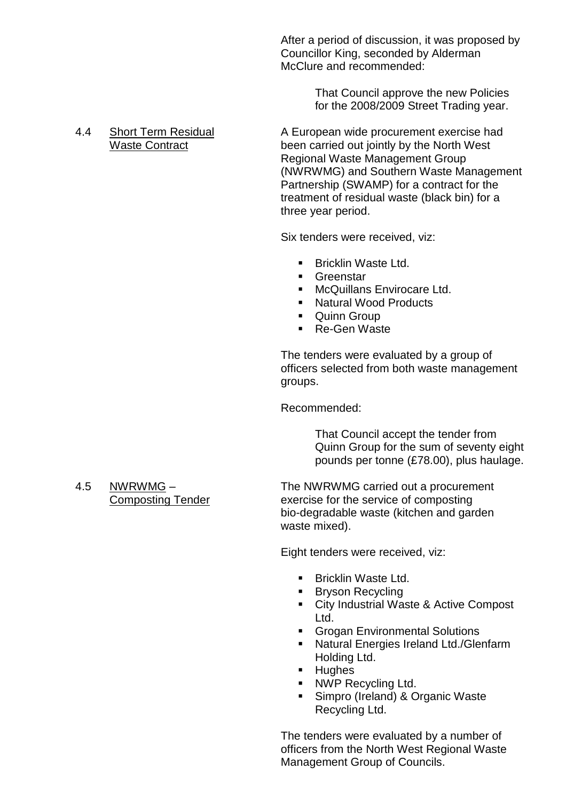After a period of discussion, it was proposed by Councillor King, seconded by Alderman McClure and recommended:

> That Council approve the new Policies for the 2008/2009 Street Trading year.

4.4 Short Term Residual A European wide procurement exercise had Waste Contract **been carried out jointly by the North West** Regional Waste Management Group (NWRWMG) and Southern Waste Management Partnership (SWAMP) for a contract for the treatment of residual waste (black bin) for a three year period.

Six tenders were received, viz:

- Bricklin Waste Ltd.
- **Greenstar**
- **McQuillans Envirocare Ltd.**
- Natural Wood Products
- **Cuinn Group**
- Re-Gen Waste

The tenders were evaluated by a group of officers selected from both waste management groups.

Recommended:

That Council accept the tender from Quinn Group for the sum of seventy eight pounds per tonne (£78.00), plus haulage.

4.5 NWRWMG – The NWRWMG carried out a procurement Composting Tender exercise for the service of composting bio-degradable waste (kitchen and garden waste mixed).

Eight tenders were received, viz:

- Bricklin Waste Ltd.
- **Bryson Recycling**
- City Industrial Waste & Active Compost Ltd.
- **Grogan Environmental Solutions**
- **Natural Energies Ireland Ltd./Glenfarm** Holding Ltd.
- **Hughes**
- NWP Recycling Ltd.
- **Simpro (Ireland) & Organic Waste** Recycling Ltd.

The tenders were evaluated by a number of officers from the North West Regional Waste Management Group of Councils.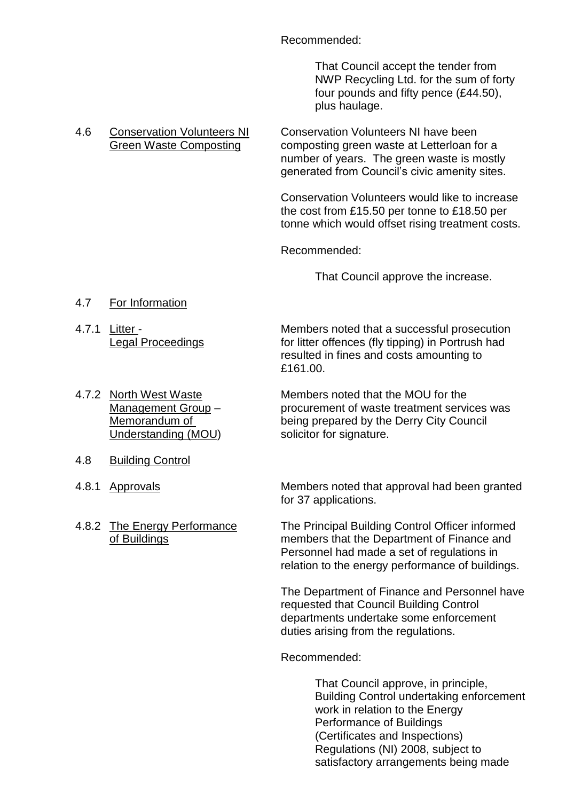#### Recommended:

That Council accept the tender from NWP Recycling Ltd. for the sum of forty four pounds and fifty pence (£44.50), plus haulage.

#### 4.6 Conservation Volunteers NI Conservation Volunteers NI have been Green Waste Composting composting green waste at Letterloan for a number of years. The green waste is mostly generated from Council's civic amenity sites.

Conservation Volunteers would like to increase the cost from £15.50 per tonne to £18.50 per tonne which would offset rising treatment costs.

Recommended:

That Council approve the increase.

- 4.7 For Information
- 

4.7.1 Litter - Members noted that a successful prosecution Legal Proceedings **for litter offences** (fly tipping) in Portrush had resulted in fines and costs amounting to £161.00.

- 4.7.2 North West Waste Members noted that the MOU for the Management Group – procurement of waste treatment services was Memorandum of being prepared by the Derry City Council Understanding (MOU) solicitor for signature.
- 4.8 Building Control
- 
- 

4.8.1 Approvals Members noted that approval had been granted for 37 applications.

4.8.2 The Energy Performance The Principal Building Control Officer informed of Buildings members that the Department of Finance and Personnel had made a set of regulations in relation to the energy performance of buildings.

> The Department of Finance and Personnel have requested that Council Building Control departments undertake some enforcement duties arising from the regulations.

Recommended:

That Council approve, in principle, Building Control undertaking enforcement work in relation to the Energy Performance of Buildings (Certificates and Inspections) Regulations (NI) 2008, subject to satisfactory arrangements being made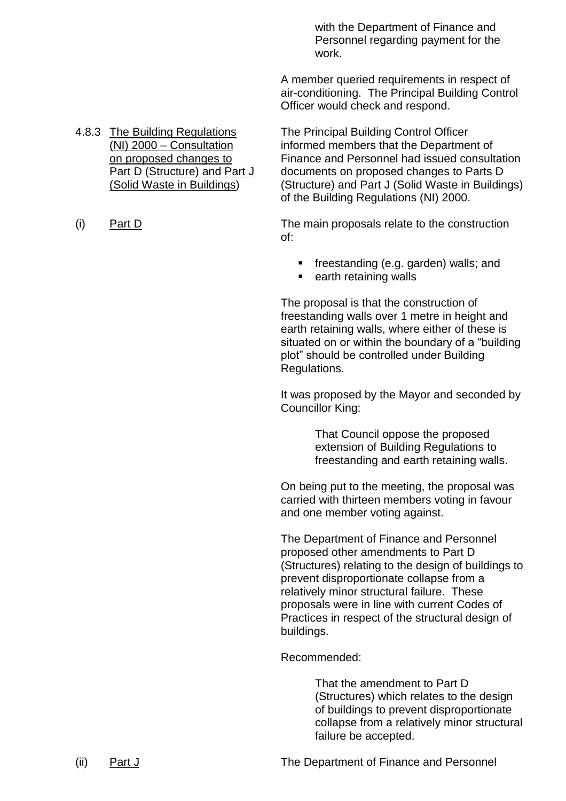with the Department of Finance and Personnel regarding payment for the work.

A member queried requirements in respect of air-conditioning. The Principal Building Control Officer would check and respond.

4.8.3 The Building Regulations The Principal Building Control Officer (NI) 2000 –Consultation informed members that the Department of on proposed changes to Finance and Personnel had issued consultation Part D (Structure) and Part J documents on proposed changes to Parts D (Solid Waste in Buildings) (Structure) and Part J (Solid Waste in Buildings)

(i) Part D The main proposals relate to the construction of:

of the Building Regulations (NI) 2000.

- **freestanding (e.g. garden) walls; and**
- earth retaining walls

The proposal is that the construction of freestanding walls over 1 metre in height and earth retaining walls, where either of these is situated on or within the boundary of a "building" plot" should be controlled under Building Regulations.

It was proposed by the Mayor and seconded by Councillor King:

> That Council oppose the proposed extension of Building Regulations to freestanding and earth retaining walls.

On being put to the meeting, the proposal was carried with thirteen members voting in favour and one member voting against.

The Department of Finance and Personnel proposed other amendments to Part D (Structures) relating to the design of buildings to prevent disproportionate collapse from a relatively minor structural failure. These proposals were in line with current Codes of Practices in respect of the structural design of buildings.

Recommended:

That the amendment to Part D (Structures) which relates to the design of buildings to prevent disproportionate collapse from a relatively minor structural failure be accepted.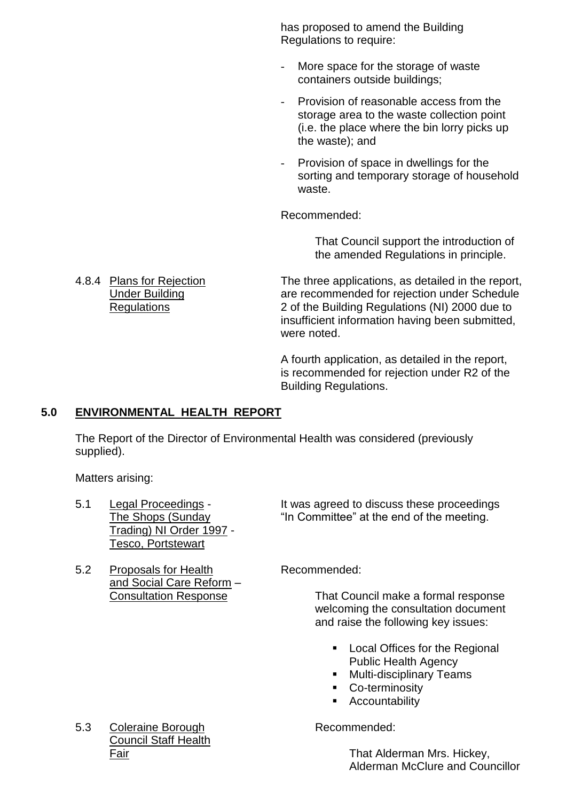has proposed to amend the Building Regulations to require:

- More space for the storage of waste containers outside buildings;
- Provision of reasonable access from the storage area to the waste collection point (i.e. the place where the bin lorry picks up the waste); and
- Provision of space in dwellings for the sorting and temporary storage of household waste.

Recommended:

That Council support the introduction of the amended Regulations in principle.

4.8.4 Plans for Rejection The three applications, as detailed in the report, Under Building are recommended for rejection under Schedule Regulations 2 of the Building Regulations (NI) 2000 due to insufficient information having been submitted, were noted.

> A fourth application, as detailed in the report, is recommended for rejection under R2 of the Building Regulations.

# **5.0 ENVIRONMENTAL HEALTH REPORT**

The Report of the Director of Environmental Health was considered (previously supplied).

Matters arising:

- Trading) NI Order 1997 Tesco, Portstewart
- 5.2 Proposals for Health Recommended: and Social Care Reform –

5.1 Legal Proceedings - It was agreed to discuss these proceedings The Shops (Sunday "In Committee" at the end of the meeting.

Consultation Response That Council make a formal response welcoming the consultation document and raise the following key issues:

- **Local Offices for the Regional** Public Health Agency
- **Multi-disciplinary Teams**
- **Co-terminosity**
- **Accountability**

Fair That Alderman Mrs. Hickey, Alderman McClure and Councillor

5.3 Coleraine Borough **Recommended:** Council Staff Health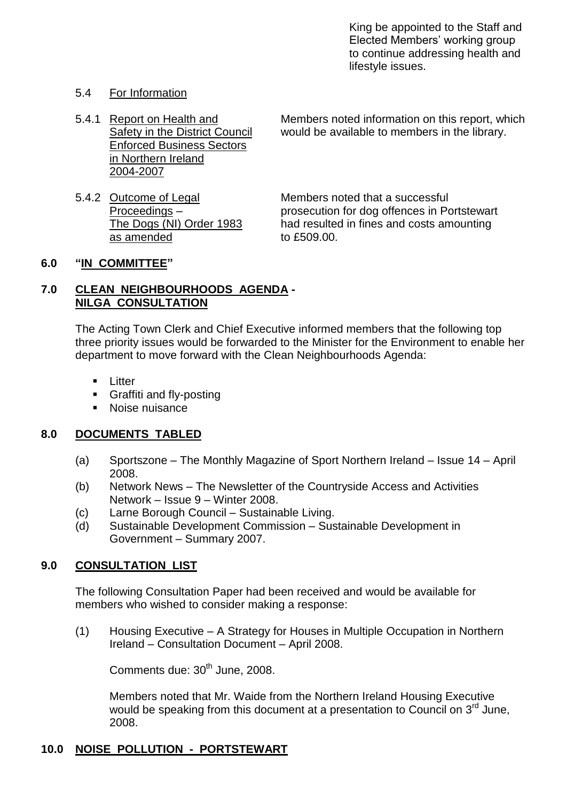King be appointed to the Staff and Elected Members' working group to continue addressing health and lifestyle issues.

#### 5.4 For Information

- Enforced Business Sectors in Northern Ireland 2004-2007
- 5.4.2 Outcome of Legal Members noted that a successful as amended to £509.00.

5.4.1 Report on Health and Members noted information on this report, which Safety in the District Council would be available to members in the library.

Proceedings – prosecution for dog offences in Portstewart The Dogs (NI) Order 1983 had resulted in fines and costs amounting

#### **6.0 "IN COMMITTEE"**

#### **7.0 CLEAN NEIGHBOURHOODS AGENDA - NILGA CONSULTATION**

The Acting Town Clerk and Chief Executive informed members that the following top three priority issues would be forwarded to the Minister for the Environment to enable her department to move forward with the Clean Neighbourhoods Agenda:

- **Litter**
- **Graffiti and fly-posting**
- Noise nuisance

#### **8.0 DOCUMENTS TABLED**

- (a) Sportszone The Monthly Magazine of Sport Northern Ireland Issue 14 April 2008.
- (b) Network News –The Newsletter of the Countryside Access and Activities Network – Issue 9 – Winter 2008.
- (c) Larne Borough Council Sustainable Living.
- (d) Sustainable Development Commission Sustainable Development in Government – Summary 2007.

# **9.0 CONSULTATION LIST**

The following Consultation Paper had been received and would be available for members who wished to consider making a response:

(1) Housing Executive –A Strategy for Houses in Multiple Occupation in Northern Ireland –Consultation Document –April 2008.

Comments due: 30<sup>th</sup> June, 2008.

Members noted that Mr. Waide from the Northern Ireland Housing Executive would be speaking from this document at a presentation to Council on 3<sup>rd</sup> June. 2008.

#### **10.0 NOISE POLLUTION - PORTSTEWART**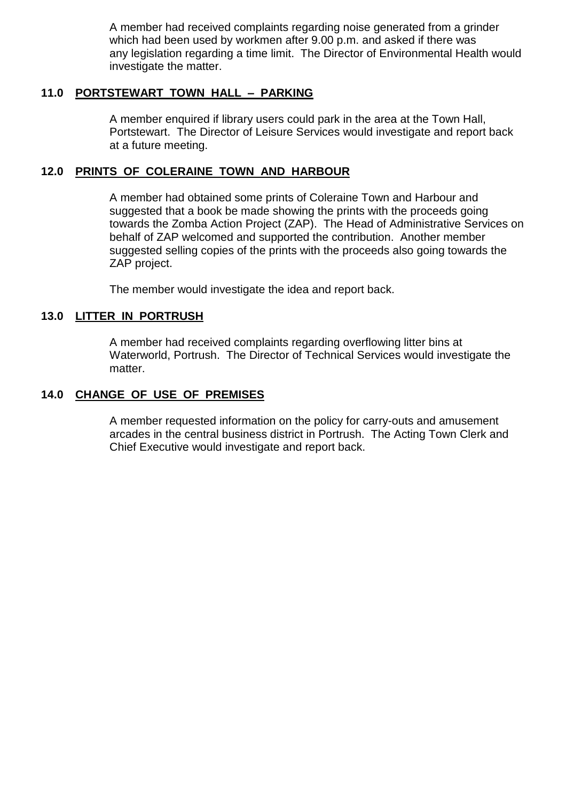A member had received complaints regarding noise generated from a grinder which had been used by workmen after 9.00 p.m. and asked if there was any legislation regarding a time limit. The Director of Environmental Health would investigate the matter.

#### **11.0 PORTSTEWART TOWN HALL –PARKING**

A member enquired if library users could park in the area at the Town Hall, Portstewart. The Director of Leisure Services would investigate and report back at a future meeting.

#### **12.0 PRINTS OF COLERAINE TOWN AND HARBOUR**

A member had obtained some prints of Coleraine Town and Harbour and suggested that a book be made showing the prints with the proceeds going towards the Zomba Action Project (ZAP). The Head of Administrative Services on behalf of ZAP welcomed and supported the contribution. Another member suggested selling copies of the prints with the proceeds also going towards the ZAP project.

The member would investigate the idea and report back.

#### **13.0 LITTER IN PORTRUSH**

A member had received complaints regarding overflowing litter bins at Waterworld, Portrush. The Director of Technical Services would investigate the matter.

#### **14.0 CHANGE OF USE OF PREMISES**

A member requested information on the policy for carry-outs and amusement arcades in the central business district in Portrush. The Acting Town Clerk and Chief Executive would investigate and report back.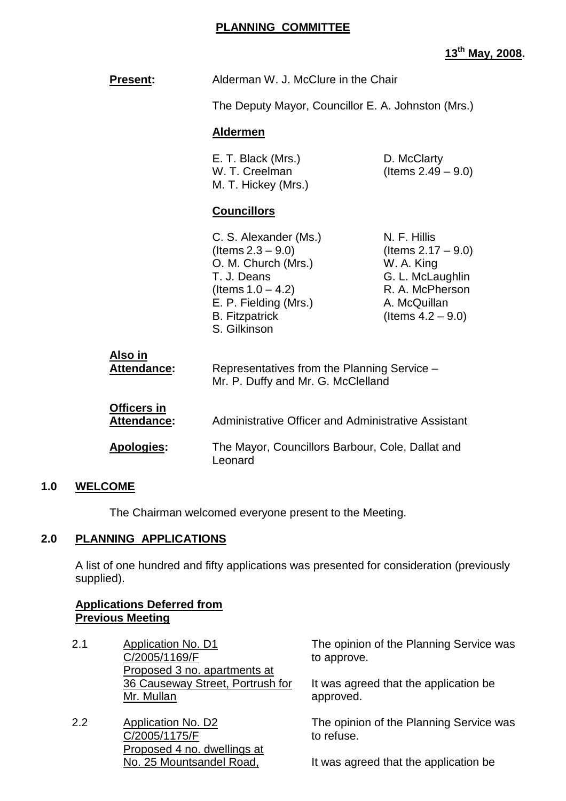## **PLANNING COMMITTEE**

# **13th May, 2008.**

| <b>Present:</b>                   | Alderman W. J. McClure in the Chair                                                                                                                                           |                                                                                                                                    |  |
|-----------------------------------|-------------------------------------------------------------------------------------------------------------------------------------------------------------------------------|------------------------------------------------------------------------------------------------------------------------------------|--|
|                                   | The Deputy Mayor, Councillor E. A. Johnston (Mrs.)                                                                                                                            |                                                                                                                                    |  |
|                                   | <b>Aldermen</b>                                                                                                                                                               |                                                                                                                                    |  |
|                                   | E. T. Black (Mrs.)<br>D. McClarty<br>(Items $2.49 - 9.0$ )<br>W. T. Creelman<br>M. T. Hickey (Mrs.)                                                                           |                                                                                                                                    |  |
|                                   | <b>Councillors</b>                                                                                                                                                            |                                                                                                                                    |  |
|                                   | C. S. Alexander (Ms.)<br>(Items $2.3 - 9.0$ )<br>O. M. Church (Mrs.)<br>T. J. Deans<br>(Items $1.0 - 4.2$ )<br>E. P. Fielding (Mrs.)<br><b>B.</b> Fitzpatrick<br>S. Gilkinson | N. F. Hillis<br>(Items $2.17 - 9.0$ )<br>W. A. King<br>G. L. McLaughlin<br>R. A. McPherson<br>A. McQuillan<br>(Items $4.2 - 9.0$ ) |  |
| Also in<br>Attendance:            | Representatives from the Planning Service -<br>Mr. P. Duffy and Mr. G. McClelland                                                                                             |                                                                                                                                    |  |
| Officers in<br><b>Attendance:</b> | Administrative Officer and Administrative Assistant                                                                                                                           |                                                                                                                                    |  |
| <b>Apologies:</b>                 | The Mayor, Councillors Barbour, Cole, Dallat and<br>Leonard                                                                                                                   |                                                                                                                                    |  |

#### **1.0 WELCOME**

The Chairman welcomed everyone present to the Meeting.

#### **2.0 PLANNING APPLICATIONS**

A list of one hundred and fifty applications was presented for consideration (previously supplied).

## **Applications Deferred from Previous Meeting**

- 2.1 Application No. D1 C/2005/1169/F Proposed 3 no. apartments at 36 Causeway Street, Portrush for Mr. Mullan
- 2.2 Application No. D2 C/2005/1175/F Proposed 4 no. dwellings at No. 25 Mountsandel Road,

The opinion of the Planning Service was to approve.

It was agreed that the application be approved.

The opinion of the Planning Service was to refuse.

It was agreed that the application be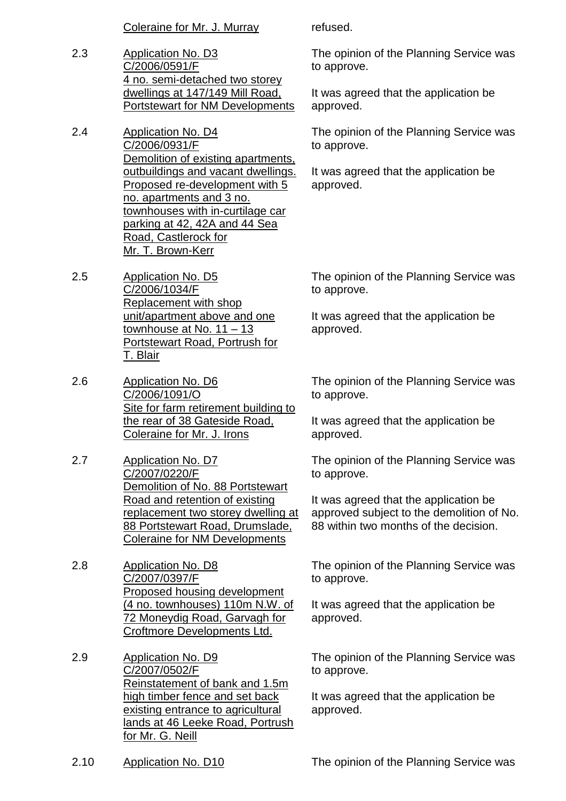Coleraine for Mr. J. Murray refused.

- 2.3 Application No. D3 C/2006/0591/F 4 no. semi-detached two storey dwellings at 147/149 Mill Road, Portstewart for NM Developments
- 2.4 Application No. D4 C/2006/0931/F Demolition of existing apartments, outbuildings and vacant dwellings. Proposed re-development with 5 no. apartments and 3 no. townhouses with in-curtilage car parking at 42, 42A and 44 Sea Road, Castlerock for Mr. T. Brown-Kerr
- 2.5 Application No. D5 C/2006/1034/F Replacement with shop unit/apartment above and one townhouse at No. 11 –13 Portstewart Road, Portrush for T. Blair
- 2.6 Application No. D6 C/2006/1091/O Site for farm retirement building to the rear of 38 Gateside Road, Coleraine for Mr. J. Irons
- 2.7 Application No. D7 C/2007/0220/F Demolition of No. 88 Portstewart Road and retention of existing replacement two storey dwelling at 88 Portstewart Road, Drumslade, Coleraine for NM Developments
- 2.8 Application No. D8 C/2007/0397/F Proposed housing development (4 no. townhouses) 110m N.W. of 72 Moneydig Road, Garvagh for Croftmore Developments Ltd.
- 2.9 Application No. D9 C/2007/0502/F Reinstatement of bank and 1.5m high timber fence and set back existing entrance to agricultural lands at 46 Leeke Road, Portrush for Mr. G. Neill

The opinion of the Planning Service was to approve.

It was agreed that the application be approved.

The opinion of the Planning Service was to approve.

It was agreed that the application be approved.

The opinion of the Planning Service was to approve.

It was agreed that the application be approved.

The opinion of the Planning Service was to approve.

It was agreed that the application be approved.

The opinion of the Planning Service was to approve.

It was agreed that the application be approved subject to the demolition of No. 88 within two months of the decision.

The opinion of the Planning Service was to approve.

It was agreed that the application be approved.

The opinion of the Planning Service was to approve.

It was agreed that the application be approved.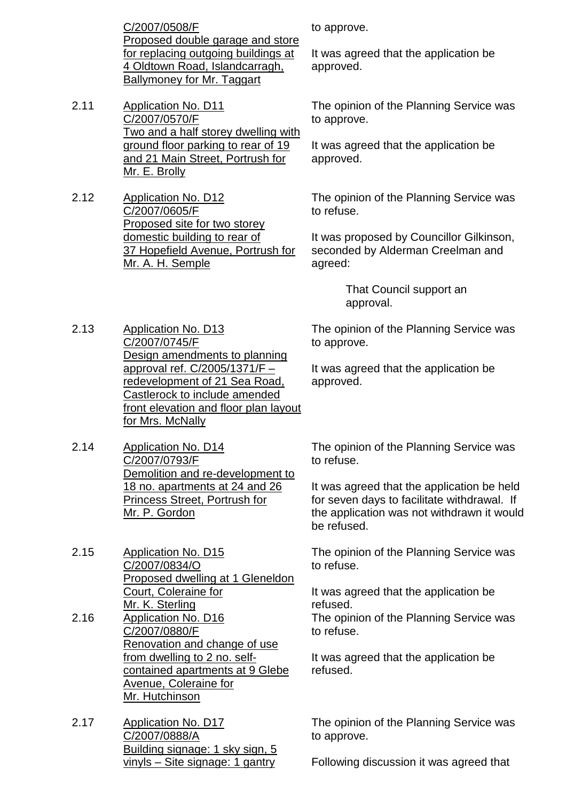C/2007/0508/F Proposed double garage and store for replacing outgoing buildings at 4 Oldtown Road, Islandcarragh, Ballymoney for Mr. Taggart

- 2.11 Application No. D11 C/2007/0570/F Two and a half storey dwelling with ground floor parking to rear of 19 and 21 Main Street, Portrush for Mr. E. Brolly
- 2.12 Application No. D12 C/2007/0605/F Proposed site for two storey domestic building to rear of 37 Hopefield Avenue, Portrush for Mr. A. H. Semple

to approve.

It was agreed that the application be approved.

The opinion of the Planning Service was to approve.

It was agreed that the application be approved.

The opinion of the Planning Service was to refuse.

It was proposed by Councillor Gilkinson, seconded by Alderman Creelman and agreed:

> That Council support an approval.

The opinion of the Planning Service was to approve.

It was agreed that the application be approved.

2.13 Application No. D13 C/2007/0745/F Design amendments to planning approval ref.  $C/2005/1371/F$ redevelopment of 21 Sea Road, Castlerock to include amended front elevation and floor plan layout for Mrs. McNally

2.14 Application No. D14 C/2007/0793/F Demolition and re-development to 18 no. apartments at 24 and 26 Princess Street, Portrush for Mr. P. Gordon

2.15 Application No. D15 C/2007/0834/O Proposed dwelling at 1 Gleneldon Court, Coleraine for Mr. K. Sterling 2.16 Application No. D16 C/2007/0880/F Renovation and change of use from dwelling to 2 no. selfcontained apartments at 9 Glebe

Avenue, Coleraine for Mr. Hutchinson 2.17 Application No. D17

C/2007/0888/A Building signage: 1 sky sign, 5 vinyls – Site signage: 1 gantry

The opinion of the Planning Service was to refuse.

It was agreed that the application be held for seven days to facilitate withdrawal. If the application was not withdrawn it would be refused.

The opinion of the Planning Service was to refuse.

It was agreed that the application be refused.

The opinion of the Planning Service was to refuse.

It was agreed that the application be refused.

The opinion of the Planning Service was to approve.

Following discussion it was agreed that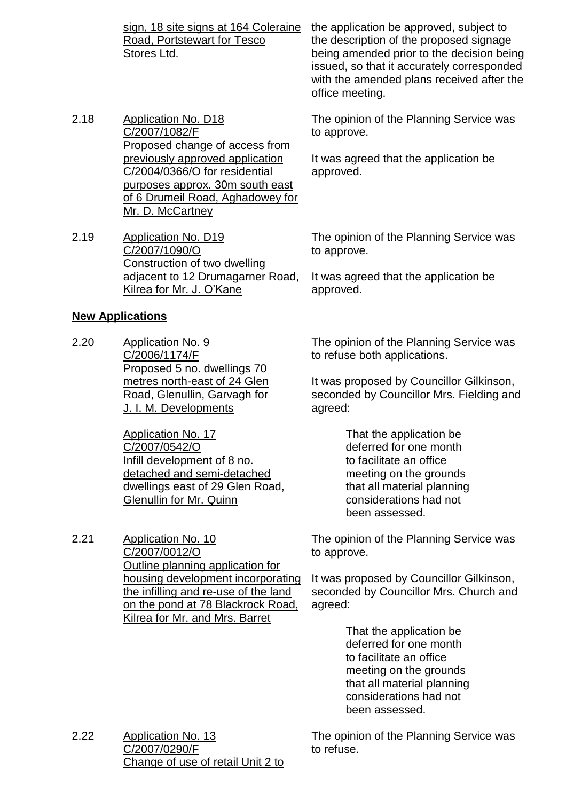Road, Portstewart for Tesco Stores Ltd.

- 2.18 Application No. D18 C/2007/1082/F Proposed change of access from previously approved application C/2004/0366/O for residential purposes approx. 30m south east of 6 Drumeil Road, Aghadowey for Mr. D. McCartney
- 2.19 Application No. D19 C/2007/1090/O Construction of two dwelling adjacent to 12 Drumagarner Road, Kilrea for Mr. J. O'Kane

#### **New Applications**

2.20 Application No. 9 C/2006/1174/F Proposed 5 no. dwellings 70 metres north-east of 24 Glen Road, Glenullin, Garvagh for J. I. M. Developments

> Application No. 17 C/2007/0542/O Infill development of 8 no. detached and semi-detached dwellings east of 29 Glen Road, Glenullin for Mr. Quinn

2.21 Application No. 10 C/2007/0012/O Outline planning application for housing development incorporating the infilling and re-use of the land on the pond at 78 Blackrock Road, Kilrea for Mr. and Mrs. Barret

sign, 18 site signs at 164 Coleraine the application be approved, subject to the description of the proposed signage being amended prior to the decision being issued, so that it accurately corresponded with the amended plans received after the office meeting.

> The opinion of the Planning Service was to approve.

It was agreed that the application be approved.

The opinion of the Planning Service was to approve.

It was agreed that the application be approved.

The opinion of the Planning Service was to refuse both applications.

It was proposed by Councillor Gilkinson, seconded by Councillor Mrs. Fielding and agreed:

> That the application be deferred for one month to facilitate an office meeting on the grounds that all material planning considerations had not been assessed.

The opinion of the Planning Service was to approve.

It was proposed by Councillor Gilkinson, seconded by Councillor Mrs. Church and agreed:

> That the application be deferred for one month to facilitate an office meeting on the grounds that all material planning considerations had not been assessed.

2.22 Application No. 13 C/2007/0290/F Change of use of retail Unit 2 to

The opinion of the Planning Service was to refuse.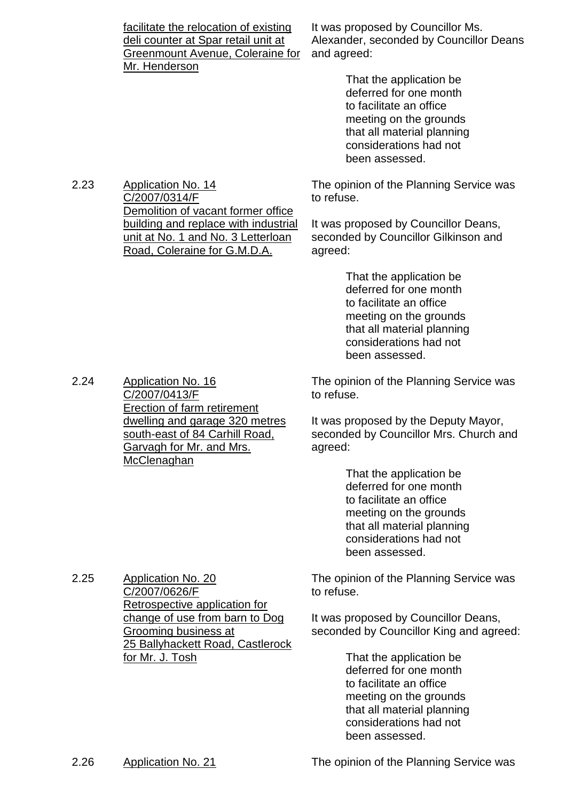| facilitate the relocation of existing<br>deli counter at Spar retail unit at | It was proposed by Councillor Ms.<br>Alexander, seconded by Councillor Deans |
|------------------------------------------------------------------------------|------------------------------------------------------------------------------|
| Greenmount Avenue, Coleraine for                                             | and agreed:                                                                  |
| Mr. Henderson                                                                |                                                                              |
|                                                                              | That the application be                                                      |
|                                                                              | deferred for one month                                                       |

deferred for one month to facilitate an office meeting on the grounds that all material planning considerations had not been assessed.

The opinion of the Planning Service was to refuse.

It was proposed by Councillor Deans, seconded by Councillor Gilkinson and agreed:

> That the application be deferred for one month to facilitate an office meeting on the grounds that all material planning considerations had not been assessed.

The opinion of the Planning Service was to refuse.

It was proposed by the Deputy Mayor, seconded by Councillor Mrs. Church and agreed:

> That the application be deferred for one month to facilitate an office meeting on the grounds that all material planning considerations had not been assessed.

The opinion of the Planning Service was to refuse.

It was proposed by Councillor Deans, seconded by Councillor King and agreed:

> That the application be deferred for one month to facilitate an office meeting on the grounds that all material planning considerations had not been assessed.

2.23 Application No. 14 C/2007/0314/F Demolition of vacant former office building and replace with industrial unit at No. 1 and No. 3 Letterloan Road, Coleraine for G.M.D.A.

2.24 Application No. 16 C/2007/0413/F Erection of farm retirement dwelling and garage 320 metres south-east of 84 Carhill Road, Garvagh for Mr. and Mrs. **McClenaghan** 

C/2007/0626/F Retrospective application for change of use from barn to Dog Grooming business at 25 Ballyhackett Road, Castlerock for Mr. J. Tosh

2.25 Application No. 20

2.26 Application No. 21 The opinion of the Planning Service was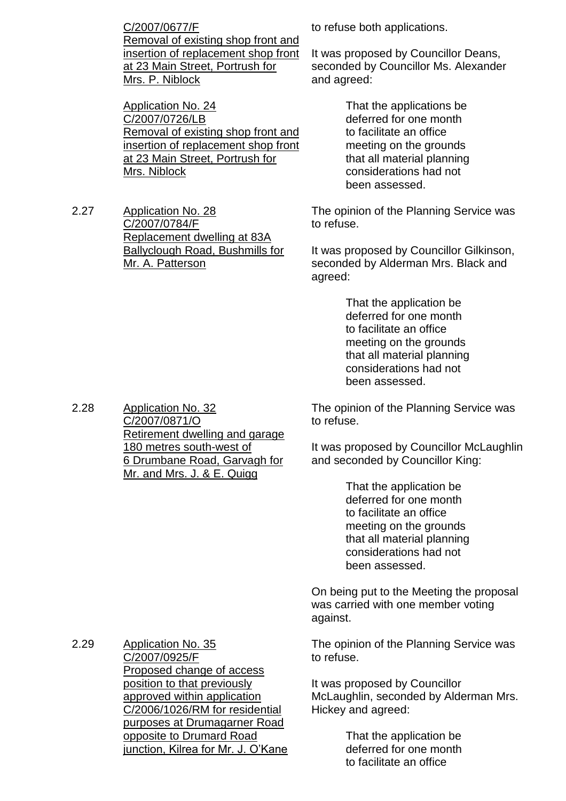C/2007/0677/F Removal of existing shop front and insertion of replacement shop front at 23 Main Street, Portrush for Mrs. P. Niblock

Application No. 24 C/2007/0726/LB Removal of existing shop front and insertion of replacement shop front at 23 Main Street, Portrush for Mrs. Niblock

2.27 Application No. 28 C/2007/0784/F Replacement dwelling at 83A Ballyclough Road, Bushmills for Mr. A. Patterson

to refuse both applications.

It was proposed by Councillor Deans, seconded by Councillor Ms. Alexander and agreed:

> That the applications be deferred for one month to facilitate an office meeting on the grounds that all material planning considerations had not been assessed.

The opinion of the Planning Service was to refuse.

It was proposed by Councillor Gilkinson, seconded by Alderman Mrs. Black and agreed:

> That the application be deferred for one month to facilitate an office meeting on the grounds that all material planning considerations had not been assessed.

The opinion of the Planning Service was to refuse.

It was proposed by Councillor McLaughlin and seconded by Councillor King:

> That the application be deferred for one month to facilitate an office meeting on the grounds that all material planning considerations had not been assessed.

On being put to the Meeting the proposal was carried with one member voting against.

The opinion of the Planning Service was to refuse.

It was proposed by Councillor McLaughlin, seconded by Alderman Mrs. Hickey and agreed:

> That the application be deferred for one month to facilitate an office

2.28 Application No. 32 C/2007/0871/O Retirement dwelling and garage 180 metres south-west of 6 Drumbane Road, Garvagh for Mr. and Mrs. J. & E. Quigg

2.29 Application No. 35 C/2007/0925/F Proposed change of access position to that previously approved within application C/2006/1026/RM for residential purposes at Drumagarner Road opposite to Drumard Road junction, Kilrea for Mr. J. O'Kane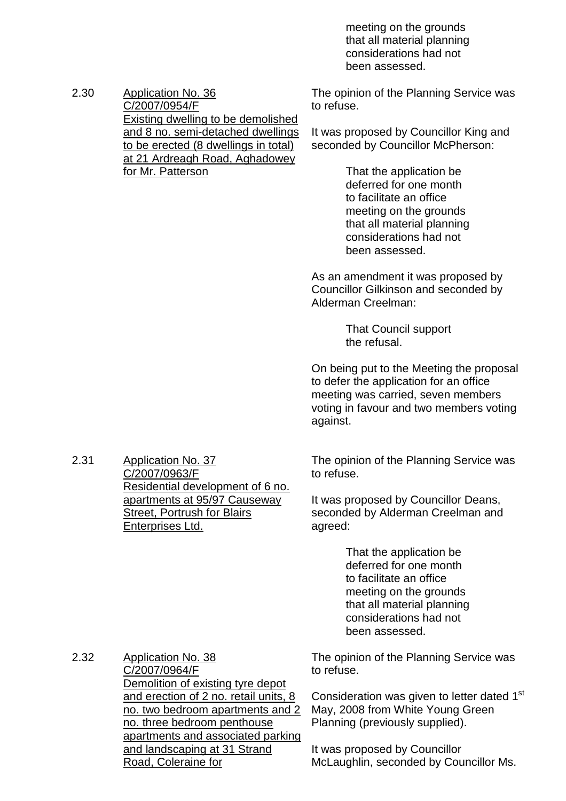meeting on the grounds that all material planning considerations had not been assessed.

2.30 Application No. 36 C/2007/0954/F Existing dwelling to be demolished and 8 no. semi-detached dwellings to be erected (8 dwellings in total) at 21 Ardreagh Road, Aghadowey for Mr. Patterson

The opinion of the Planning Service was to refuse.

It was proposed by Councillor King and seconded by Councillor McPherson:

> That the application be deferred for one month to facilitate an office meeting on the grounds that all material planning considerations had not been assessed.

As an amendment it was proposed by Councillor Gilkinson and seconded by Alderman Creelman:

> That Council support the refusal.

On being put to the Meeting the proposal to defer the application for an office meeting was carried, seven members voting in favour and two members voting against.

The opinion of the Planning Service was to refuse.

It was proposed by Councillor Deans, seconded by Alderman Creelman and agreed:

> That the application be deferred for one month to facilitate an office meeting on the grounds that all material planning considerations had not been assessed.

The opinion of the Planning Service was to refuse.

Consideration was given to letter dated 1<sup>st</sup> May, 2008 from White Young Green Planning (previously supplied).

It was proposed by Councillor McLaughlin, seconded by Councillor Ms.

2.31 Application No. 37 C/2007/0963/F Residential development of 6 no. apartments at 95/97 Causeway **Street, Portrush for Blairs** Enterprises Ltd.

2.32 Application No. 38 C/2007/0964/F Demolition of existing tyre depot and erection of 2 no. retail units, 8 no. two bedroom apartments and 2 no. three bedroom penthouse apartments and associated parking and landscaping at 31 Strand Road, Coleraine for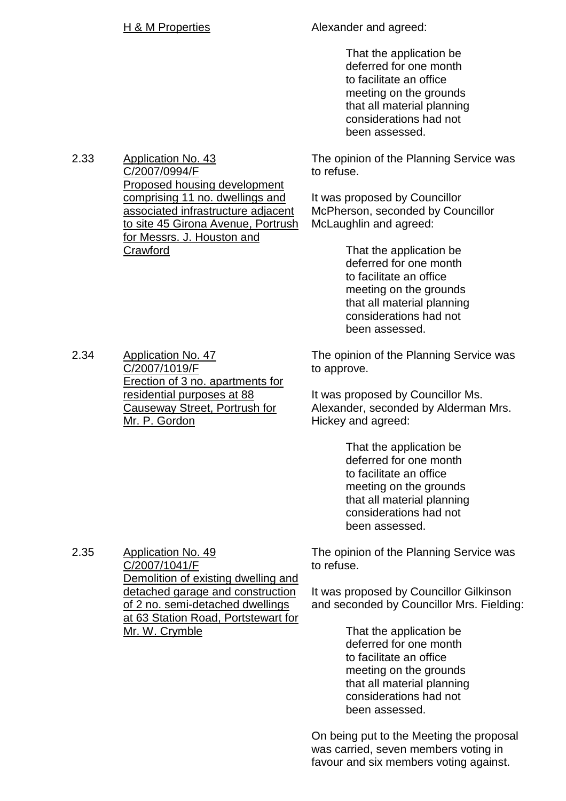2.33 Application No. 43

**Crawford** 

C/2007/0994/F

Proposed housing development comprising 11 no. dwellings and associated infrastructure adjacent to site 45 Girona Avenue, Portrush

for Messrs. J. Houston and

H & M Properties Alexander and agreed:

That the application be deferred for one month to facilitate an office meeting on the grounds that all material planning considerations had not been assessed.

The opinion of the Planning Service was to refuse.

It was proposed by Councillor McPherson, seconded by Councillor McLaughlin and agreed:

> That the application be deferred for one month to facilitate an office meeting on the grounds that all material planning considerations had not been assessed.

2.34 Application No. 47 C/2007/1019/F Erection of 3 no. apartments for residential purposes at 88 Causeway Street, Portrush for Mr. P. Gordon

The opinion of the Planning Service was to approve.

It was proposed by Councillor Ms. Alexander, seconded by Alderman Mrs. Hickey and agreed:

> That the application be deferred for one month to facilitate an office meeting on the grounds that all material planning considerations had not been assessed.

The opinion of the Planning Service was to refuse.

It was proposed by Councillor Gilkinson and seconded by Councillor Mrs. Fielding:

> That the application be deferred for one month to facilitate an office meeting on the grounds that all material planning considerations had not been assessed.

On being put to the Meeting the proposal was carried, seven members voting in favour and six members voting against.

2.35 Application No. 49 C/2007/1041/F Demolition of existing dwelling and detached garage and construction of 2 no. semi-detached dwellings at 63 Station Road, Portstewart for Mr. W. Crymble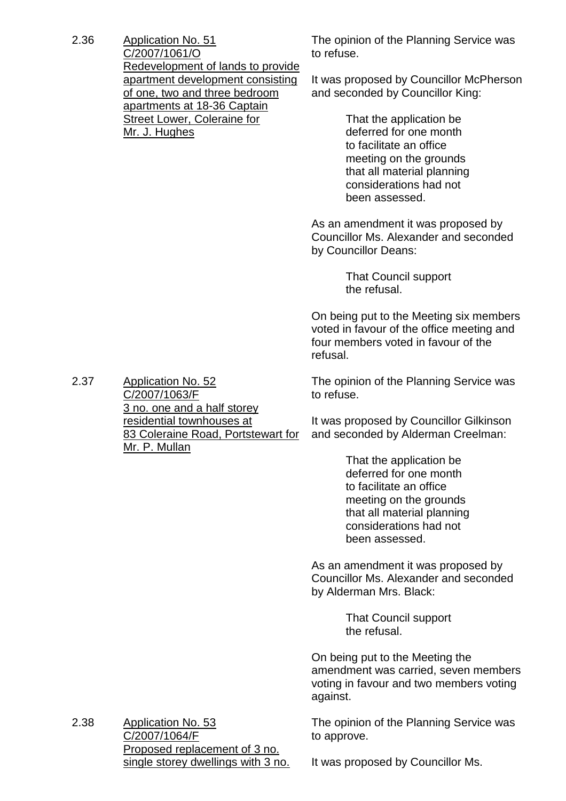2.36 Application No. 51 C/2007/1061/O Redevelopment of lands to provide apartment development consisting of one, two and three bedroom apartments at 18-36 Captain Street Lower, Coleraine for Mr. J. Hughes

The opinion of the Planning Service was to refuse.

It was proposed by Councillor McPherson and seconded by Councillor King:

> That the application be deferred for one month to facilitate an office meeting on the grounds that all material planning considerations had not been assessed.

As an amendment it was proposed by Councillor Ms. Alexander and seconded by Councillor Deans:

> That Council support the refusal.

On being put to the Meeting six members voted in favour of the office meeting and four members voted in favour of the refusal.

The opinion of the Planning Service was to refuse.

It was proposed by Councillor Gilkinson and seconded by Alderman Creelman:

> That the application be deferred for one month to facilitate an office meeting on the grounds that all material planning considerations had not been assessed.

As an amendment it was proposed by Councillor Ms. Alexander and seconded by Alderman Mrs. Black:

> That Council support the refusal.

On being put to the Meeting the amendment was carried, seven members voting in favour and two members voting against.

The opinion of the Planning Service was to approve.

2.38 Application No. 53 C/2007/1064/F Proposed replacement of 3 no. single storey dwellings with 3 no.

It was proposed by Councillor Ms.

2.37 Application No. 52 C/2007/1063/F 3 no. one and a half storey residential townhouses at 83 Coleraine Road, Portstewart for Mr. P. Mullan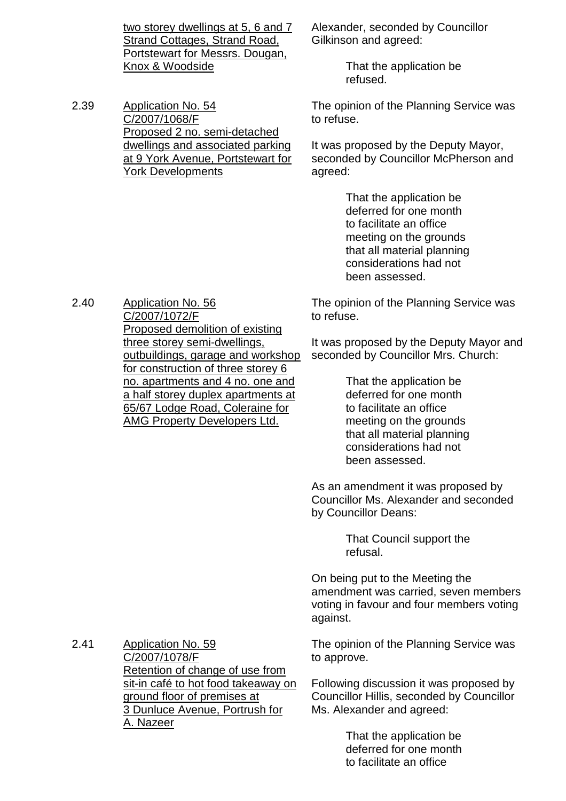two storey dwellings at 5, 6 and 7 Strand Cottages, Strand Road, Portstewart for Messrs. Dougan, Knox & Woodside

2.39 Application No. 54 C/2007/1068/F Proposed 2 no. semi-detached dwellings and associated parking at 9 York Avenue, Portstewart for York Developments

Alexander, seconded by Councillor Gilkinson and agreed:

> That the application be refused.

The opinion of the Planning Service was to refuse.

It was proposed by the Deputy Mayor, seconded by Councillor McPherson and agreed:

> That the application be deferred for one month to facilitate an office meeting on the grounds that all material planning considerations had not been assessed.

The opinion of the Planning Service was to refuse.

It was proposed by the Deputy Mayor and seconded by Councillor Mrs. Church:

> That the application be deferred for one month to facilitate an office meeting on the grounds that all material planning considerations had not been assessed.

As an amendment it was proposed by Councillor Ms. Alexander and seconded by Councillor Deans:

> That Council support the refusal.

On being put to the Meeting the amendment was carried, seven members voting in favour and four members voting against.

2.41 Application No. 59 C/2007/1078/F Retention of change of use from sit-in café to hot food takeaway on ground floor of premises at 3 Dunluce Avenue, Portrush for A. Nazeer

The opinion of the Planning Service was to approve.

Following discussion it was proposed by Councillor Hillis, seconded by Councillor Ms. Alexander and agreed:

> That the application be deferred for one month to facilitate an office

2.40 Application No. 56 C/2007/1072/F Proposed demolition of existing three storey semi-dwellings, outbuildings, garage and workshop for construction of three storey 6 no. apartments and 4 no. one and a half storey duplex apartments at 65/67 Lodge Road, Coleraine for AMG Property Developers Ltd.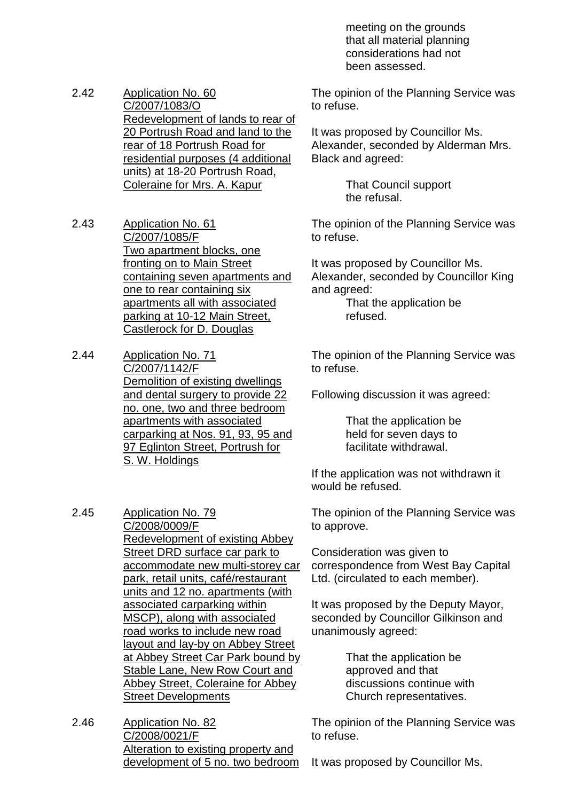meeting on the grounds that all material planning considerations had not been assessed.

2.42 Application No. 60 C/2007/1083/O Redevelopment of lands to rear of 20 Portrush Road and land to the rear of 18 Portrush Road for residential purposes (4 additional units) at 18-20 Portrush Road, Coleraine for Mrs. A. Kapur

2.43 Application No. 61 C/2007/1085/F Two apartment blocks, one fronting on to Main Street containing seven apartments and one to rear containing six apartments all with associated parking at 10-12 Main Street, Castlerock for D. Douglas

2.44 Application No. 71 C/2007/1142/F Demolition of existing dwellings and dental surgery to provide 22 no. one, two and three bedroom apartments with associated carparking at Nos. 91, 93, 95 and 97 Eglinton Street, Portrush for S. W. Holdings

2.45 Application No. 79 C/2008/0009/F Redevelopment of existing Abbey Street DRD surface car park to accommodate new multi-storey car park, retail units, café/restaurant units and 12 no. apartments (with associated carparking within MSCP), along with associated road works to include new road layout and lay-by on Abbey Street at Abbey Street Car Park bound by Stable Lane, New Row Court and Abbey Street, Coleraine for Abbey Street Developments

2.46 Application No. 82 C/2008/0021/F Alteration to existing property and development of 5 no. two bedroom

The opinion of the Planning Service was to refuse.

It was proposed by Councillor Ms. Alexander, seconded by Alderman Mrs. Black and agreed:

> That Council support the refusal.

The opinion of the Planning Service was to refuse.

It was proposed by Councillor Ms. Alexander, seconded by Councillor King and agreed:

That the application be refused.

The opinion of the Planning Service was to refuse.

Following discussion it was agreed:

That the application be held for seven days to facilitate withdrawal.

If the application was not withdrawn it would be refused.

The opinion of the Planning Service was to approve.

Consideration was given to correspondence from West Bay Capital Ltd. (circulated to each member).

It was proposed by the Deputy Mayor, seconded by Councillor Gilkinson and unanimously agreed:

> That the application be approved and that discussions continue with Church representatives.

The opinion of the Planning Service was to refuse.

It was proposed by Councillor Ms.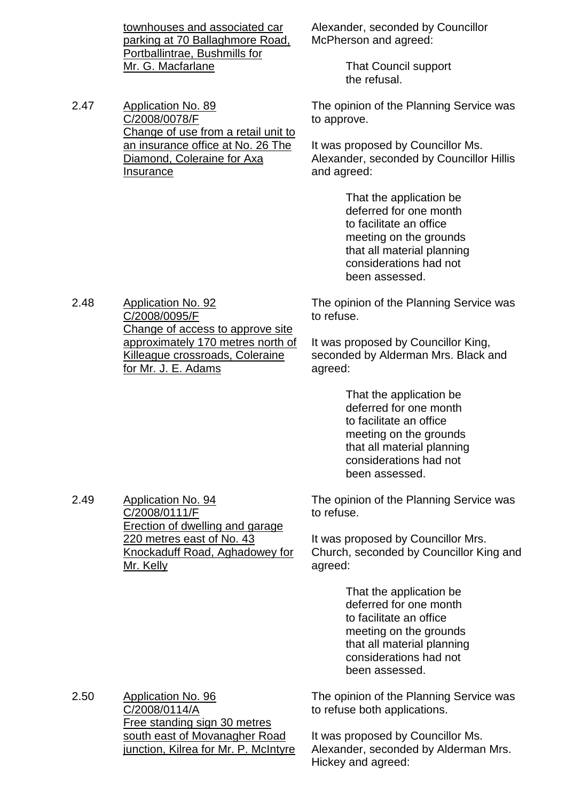townhouses and associated car parking at 70 Ballaghmore Road, Portballintrae, Bushmills for Mr. G. Macfarlane Alexander, seconded by Councillor McPherson and agreed: That Council support the refusal. 2.47 Application No. 89 C/2008/0078/F Change of use from a retail unit to an insurance office at No. 26 The Diamond, Coleraine for Axa **Insurance** The opinion of the Planning Service was to approve. It was proposed by Councillor Ms. Alexander, seconded by Councillor Hillis and agreed: That the application be deferred for one month to facilitate an office meeting on the grounds that all material planning considerations had not been assessed. 2.48 Application No. 92 C/2008/0095/F Change of access to approve site approximately 170 metres north of Killeague crossroads, Coleraine for Mr. J. E. Adams The opinion of the Planning Service was to refuse. It was proposed by Councillor King, seconded by Alderman Mrs. Black and agreed: That the application be deferred for one month to facilitate an office meeting on the grounds that all material planning considerations had not been assessed.

2.49 Application No. 94 C/2008/0111/F Erection of dwelling and garage 220 metres east of No. 43 Knockaduff Road, Aghadowey for Mr. Kelly

The opinion of the Planning Service was to refuse.

It was proposed by Councillor Mrs. Church, seconded by Councillor King and agreed:

> That the application be deferred for one month to facilitate an office meeting on the grounds that all material planning considerations had not been assessed.

2.50 Application No. 96 C/2008/0114/A Free standing sign 30 metres south east of Movanagher Road junction, Kilrea for Mr. P. McIntyre The opinion of the Planning Service was to refuse both applications.

It was proposed by Councillor Ms. Alexander, seconded by Alderman Mrs. Hickey and agreed: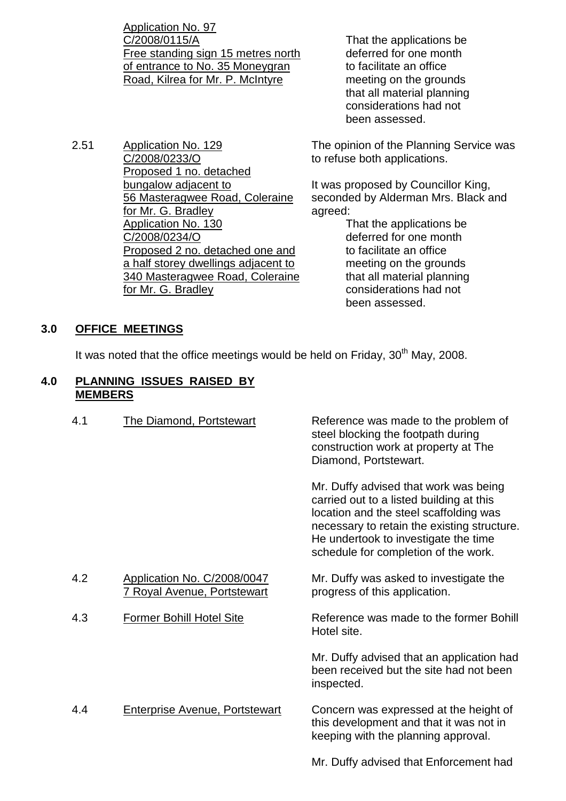Application No. 97 C/2008/0115/A Free standing sign 15 metres north of entrance to No. 35 Moneygran Road, Kilrea for Mr. P. McIntyre

- 2.51 Application No. 129 C/2008/0233/O Proposed 1 no. detached bungalow adjacent to 56 Masteragwee Road, Coleraine for Mr. G. Bradley Application No. 130 C/2008/0234/O Proposed 2 no. detached one and a half storey dwellings adjacent to 340 Masteragwee Road, Coleraine for Mr. G. Bradley
- That the applications be deferred for one month to facilitate an office meeting on the grounds that all material planning considerations had not been assessed.

The opinion of the Planning Service was to refuse both applications.

It was proposed by Councillor King, seconded by Alderman Mrs. Black and agreed:

> That the applications be deferred for one month to facilitate an office meeting on the grounds that all material planning considerations had not been assessed.

# **3.0 OFFICE MEETINGS**

It was noted that the office meetings would be held on Friday, 30<sup>th</sup> May, 2008.

## **4.0 PLANNING ISSUES RAISED BY MEMBERS**

4.1 The Diamond, Portstewart Reference was made to the problem of steel blocking the footpath during construction work at property at The Diamond, Portstewart. Mr. Duffy advised that work was being carried out to a listed building at this location and the steel scaffolding was necessary to retain the existing structure. He undertook to investigate the time schedule for completion of the work. 4.2 Application No. C/2008/0047 7 Royal Avenue, Portstewart Mr. Duffy was asked to investigate the progress of this application. 4.3 Former Bohill Hotel Site Reference was made to the former Bohill Hotel site. Mr. Duffy advised that an application had been received but the site had not been inspected. 4.4 Enterprise Avenue, Portstewart Concern was expressed at the height of this development and that it was not in keeping with the planning approval.

Mr. Duffy advised that Enforcement had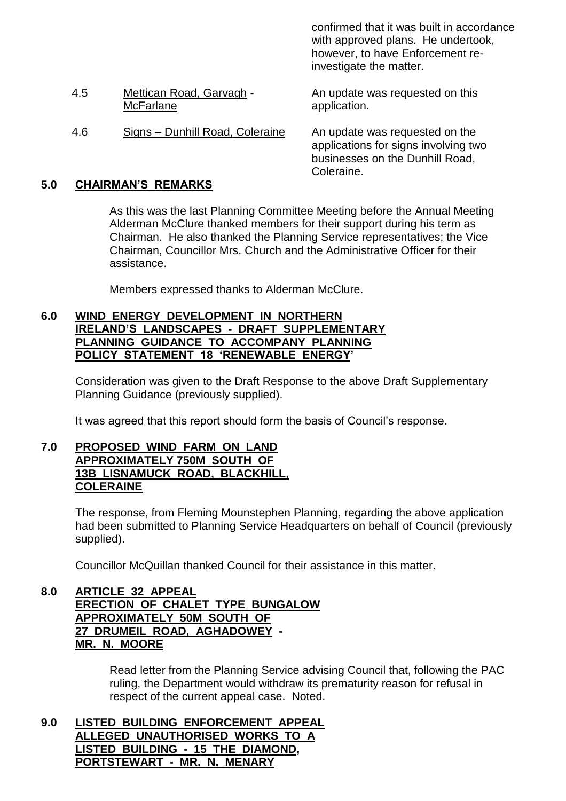|     |                                              | confirmed that it was built in accordance<br>with approved plans. He undertook,<br>however, to have Enforcement re-<br>investigate the matter. |
|-----|----------------------------------------------|------------------------------------------------------------------------------------------------------------------------------------------------|
| 4.5 | Mettican Road, Garvagh -<br><b>McFarlane</b> | An update was requested on this<br>application.                                                                                                |
| 4.6 | Signs - Dunhill Road, Coleraine              | An update was requested on the<br>applications for signs involving two<br>businesses on the Dunhill Road,<br>Coleraine.                        |

## **5.0 CHAIRMAN'S REMARKS**

As this was the last Planning Committee Meeting before the Annual Meeting Alderman McClure thanked members for their support during his term as Chairman. He also thanked the Planning Service representatives; the Vice Chairman, Councillor Mrs. Church and the Administrative Officer for their assistance.

Members expressed thanks to Alderman McClure.

#### **6.0 WIND ENERGY DEVELOPMENT IN NORTHERN IRELAND'S LANDSCAPES - DRAFT SUPPLEMENTARY PLANNING GUIDANCE TO ACCOMPANY PLANNING POLICY STATEMENT 18'RENEWABLE ENERGY'**

Consideration was given to the Draft Response to the above Draft Supplementary Planning Guidance (previously supplied).

It was agreed that this report should form the basis of Council's response.

#### **7.0 PROPOSED WIND FARM ON LAND APPROXIMATELY 750M SOUTH OF 13B LISNAMUCK ROAD, BLACKHILL, COLERAINE**

The response, from Fleming Mounstephen Planning, regarding the above application had been submitted to Planning Service Headquarters on behalf of Council (previously supplied).

Councillor McQuillan thanked Council for their assistance in this matter.

#### **8.0 ARTICLE 32 APPEAL ERECTION OF CHALET TYPE BUNGALOW APPROXIMATELY 50M SOUTH OF 27 DRUMEIL ROAD, AGHADOWEY - MR. N. MOORE**

Read letter from the Planning Service advising Council that, following the PAC ruling, the Department would withdraw its prematurity reason for refusal in respect of the current appeal case. Noted.

**9.0 LISTED BUILDING ENFORCEMENT APPEAL ALLEGED UNAUTHORISED WORKS TO A LISTED BUILDING - 15 THE DIAMOND, PORTSTEWART - MR. N. MENARY**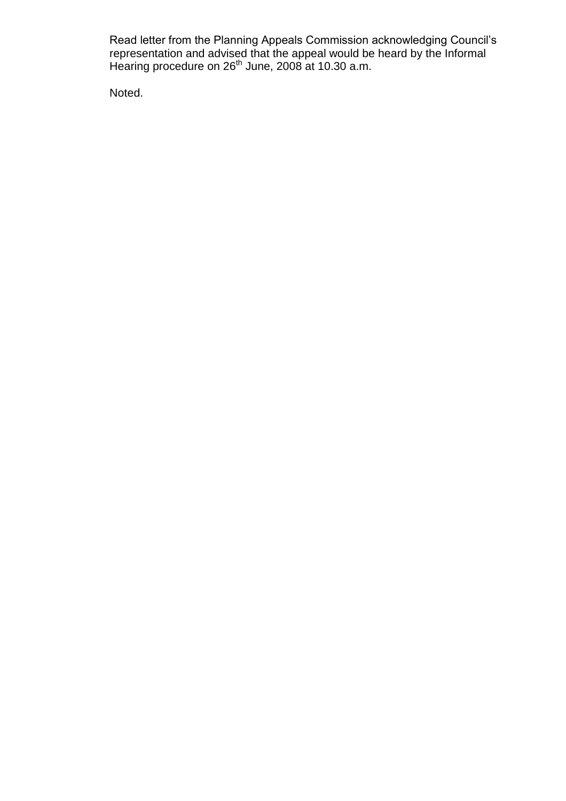Read letter from the Planning Appeals Commission acknowledging Council's representation and advised that the appeal would be heard by the Informal Hearing procedure on 26<sup>th</sup> June, 2008 at 10.30 a.m.

Noted.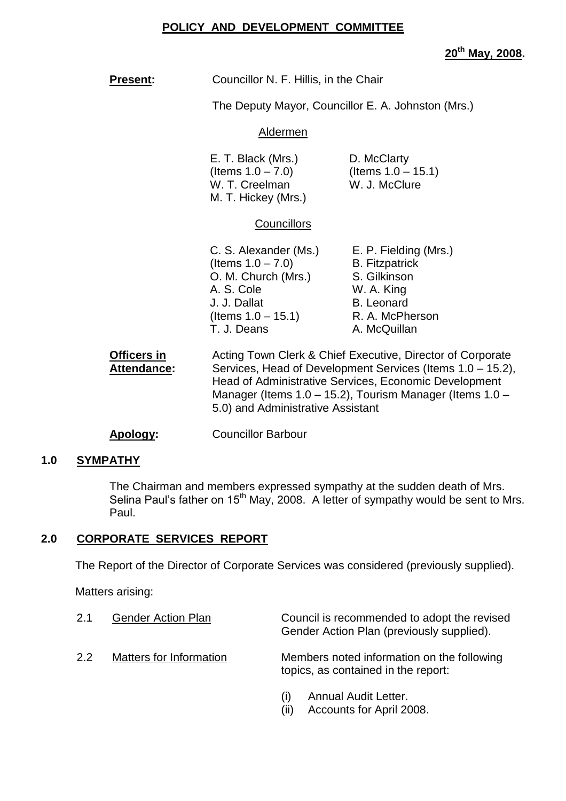#### **POLICY AND DEVELOPMENT COMMITTEE**

**20th May, 2008.**

| <b>Present:</b>                          | Councillor N. F. Hillis, in the Chair                                                                                                                                                                                                                                              |                                                                                                             |  |
|------------------------------------------|------------------------------------------------------------------------------------------------------------------------------------------------------------------------------------------------------------------------------------------------------------------------------------|-------------------------------------------------------------------------------------------------------------|--|
|                                          | The Deputy Mayor, Councillor E. A. Johnston (Mrs.)                                                                                                                                                                                                                                 |                                                                                                             |  |
|                                          | Aldermen                                                                                                                                                                                                                                                                           |                                                                                                             |  |
|                                          | D. McClarty<br>E. T. Black (Mrs.)<br>(Items $1.0 - 15.1$ )<br>(Items $1.0 - 7.0$ )<br>W. T. Creelman<br>W. J. McClure<br>M. T. Hickey (Mrs.)                                                                                                                                       |                                                                                                             |  |
|                                          | <b>Councillors</b>                                                                                                                                                                                                                                                                 |                                                                                                             |  |
|                                          | C. S. Alexander (Ms.) E. P. Fielding (Mrs.)<br>(Items $1.0 - 7.0$ )<br>O. M. Church (Mrs.)<br>A. S. Cole<br>J. J. Dallat<br>(Items $1.0 - 15.1$ )<br>T. J. Deans                                                                                                                   | <b>B.</b> Fitzpatrick<br>S. Gilkinson<br>W. A. King<br><b>B.</b> Leonard<br>R. A. McPherson<br>A. McQuillan |  |
| <b>Officers in</b><br><b>Attendance:</b> | Acting Town Clerk & Chief Executive, Director of Corporate<br>Services, Head of Development Services (Items 1.0 - 15.2),<br>Head of Administrative Services, Economic Development<br>Manager (Items 1.0 - 15.2), Tourism Manager (Items 1.0 -<br>5.0) and Administrative Assistant |                                                                                                             |  |
| Apology:                                 | <b>Councillor Barbour</b>                                                                                                                                                                                                                                                          |                                                                                                             |  |

#### **1.0 SYMPATHY**

The Chairman and members expressed sympathy at the sudden death of Mrs. Selina Paul's father on 15<sup>th</sup> May, 2008. A letter of sympathy would be sent to Mrs. Paul.

#### **2.0 CORPORATE SERVICES REPORT**

The Report of the Director of Corporate Services was considered (previously supplied).

Matters arising:

| 2.1 | <b>Gender Action Plan</b> | Council is recommended to adopt the revised<br>Gender Action Plan (previously supplied). |
|-----|---------------------------|------------------------------------------------------------------------------------------|
| 2.2 | Matters for Information   | Members noted information on the following<br>topics, as contained in the report:        |
|     |                           | Annual Audit Letter.                                                                     |

(ii) Accounts for April 2008.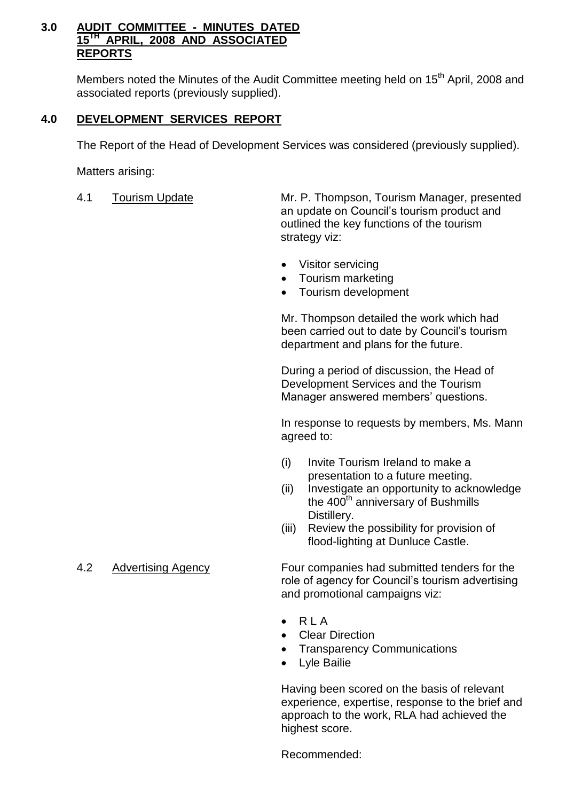#### **3.0 AUDIT COMMITTEE - MINUTES DATED 15TH APRIL, 2008 AND ASSOCIATED REPORTS**

Members noted the Minutes of the Audit Committee meeting held on 15<sup>th</sup> April, 2008 and associated reports (previously supplied).

# **4.0 DEVELOPMENT SERVICES REPORT**

The Report of the Head of Development Services was considered (previously supplied).

Matters arising:

4.1 Tourism Update Mr. P. Thompson, Tourism Manager, presented an update on Council's tourism product and outlined the key functions of the tourism strategy viz:

- Visitor servicing
- Tourism marketing
- Tourism development

Mr. Thompson detailed the work which had been carried out to date by Council's tourism department and plans for the future.

During a period of discussion, the Head of Development Services and the Tourism Manager answered members' questions.

In response to requests by members, Ms. Mann agreed to:

- (i) Invite Tourism Ireland to make a presentation to a future meeting.
- (ii) Investigate an opportunity to acknowledge the  $400<sup>th</sup>$  anniversary of Bushmills Distillery.
- (iii) Review the possibility for provision of flood-lighting at Dunluce Castle.

4.2 Advertising Agency Four companies had submitted tenders for the role of agency for Council's tourism advertising and promotional campaigns viz:

- $\bullet$  RIA
- Clear Direction
- Transparency Communications
- Lyle Bailie

Having been scored on the basis of relevant experience, expertise, response to the brief and approach to the work, RLA had achieved the highest score.

Recommended: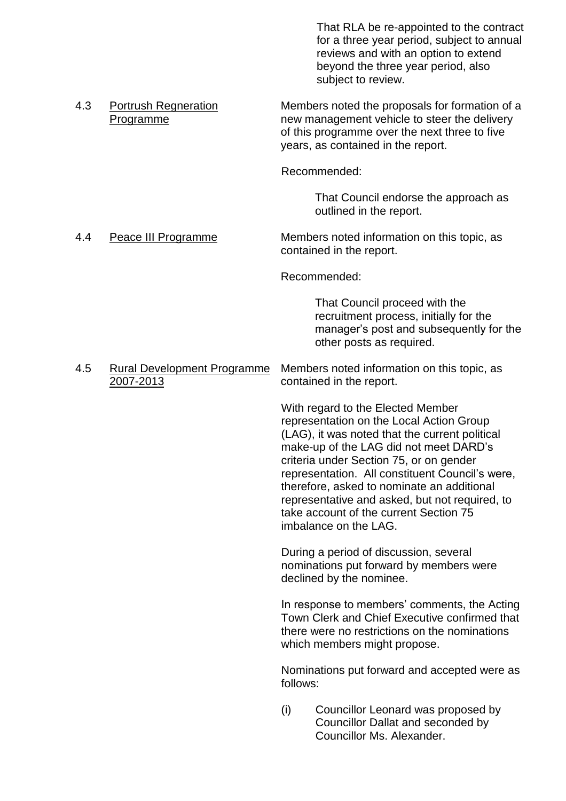That RLA be re-appointed to the contract for a three year period, subject to annual reviews and with an option to extend beyond the three year period, also subject to review. 4.3 Portrush Regneration Members noted the proposals for formation of a Programme new management vehicle to steer the delivery of this programme over the next three to five years, as contained in the report. Recommended: That Council endorse the approach as outlined in the report. 4.4 Peace III Programme Members noted information on this topic, as contained in the report. Recommended: That Council proceed with the recruitment process, initially for the manager's post and subsequently for the other posts as required. 4.5 Rural Development Programme Members noted information on this topic, as<br>2007-2013 contained in the report. contained in the report. With regard to the Elected Member representation on the Local Action Group (LAG), it was noted that the current political make-up of the LAG did not meet DARD's criteria under Section 75, or on gender representation. All constituent Council's were, therefore, asked to nominate an additional representative and asked, but not required, to take account of the current Section 75 imbalance on the LAG. During a period of discussion, several nominations put forward by members were declined by the nominee. In response to members' comments, the Acting Town Clerk and Chief Executive confirmed that there were no restrictions on the nominations which members might propose. Nominations put forward and accepted were as follows: (i) Councillor Leonard was proposed by Councillor Dallat and seconded by Councillor Ms. Alexander.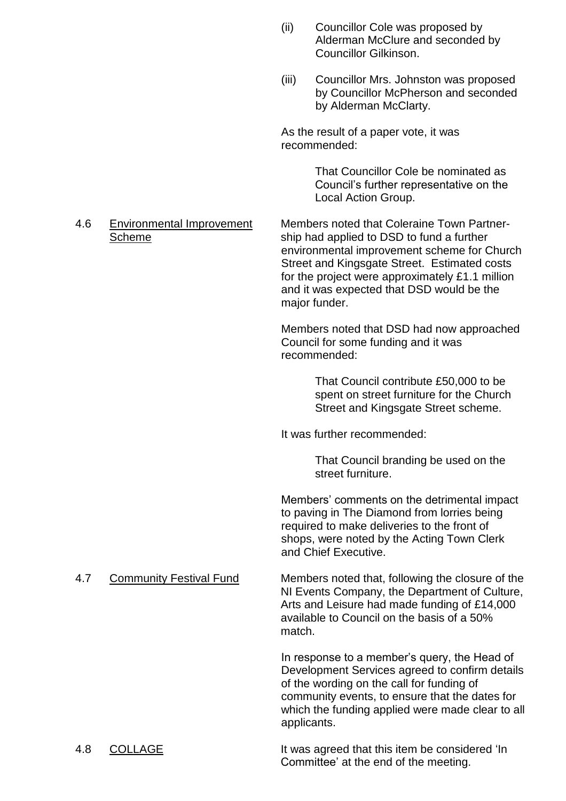- (ii) Councillor Cole was proposed by Alderman McClure and seconded by Councillor Gilkinson.
- (iii) Councillor Mrs. Johnston was proposed by Councillor McPherson and seconded by Alderman McClarty.

As the result of a paper vote, it was recommended:

> That Councillor Cole be nominated as Council's further representative on the Local Action Group.

#### 4.6 Environmental Improvement Members noted that Coleraine Town Partner-Scheme ship had applied to DSD to fund a further environmental improvement scheme for Church Street and Kingsgate Street. Estimated costs for the project were approximately £1.1 million and it was expected that DSD would be the major funder.

Members noted that DSD had now approached Council for some funding and it was recommended:

> That Council contribute £50,000 to be spent on street furniture for the Church Street and Kingsgate Street scheme.

It was further recommended:

That Council branding be used on the street furniture.

Members' comments on the detrimental impact to paving in The Diamond from lorries being required to make deliveries to the front of shops, were noted by the Acting Town Clerk and Chief Executive.

4.7 Community Festival Fund Members noted that, following the closure of the NI Events Company, the Department of Culture, Arts and Leisure had made funding of £14,000 available to Council on the basis of a 50% match.

> In response to a member's query, the Head of Development Services agreed to confirm details of the wording on the call for funding of community events, to ensure that the dates for which the funding applied were made clear to all applicants.

# 4.8 COLLAGE It was agreed that this item be considered 'In Committee'at the end of the meeting.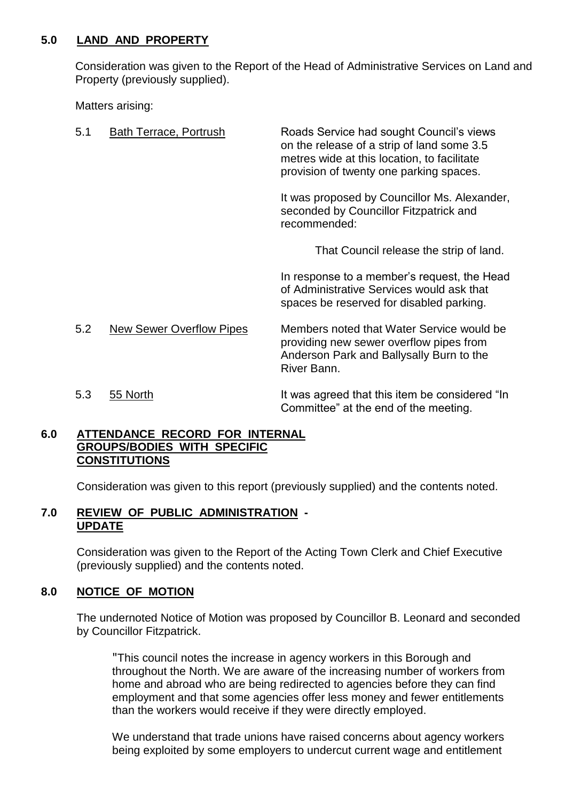#### **5.0 LAND AND PROPERTY**

Consideration was given to the Report of the Head of Administrative Services on Land and Property (previously supplied).

Matters arising:

| 5.1 | Bath Terrace, Portrush          | Roads Service had sought Council's views<br>on the release of a strip of land some 3.5<br>metres wide at this location, to facilitate<br>provision of twenty one parking spaces. |
|-----|---------------------------------|----------------------------------------------------------------------------------------------------------------------------------------------------------------------------------|
|     |                                 | It was proposed by Councillor Ms. Alexander,<br>seconded by Councillor Fitzpatrick and<br>recommended:                                                                           |
|     |                                 | That Council release the strip of land.                                                                                                                                          |
|     |                                 | In response to a member's request, the Head<br>of Administrative Services would ask that<br>spaces be reserved for disabled parking.                                             |
| 5.2 | <b>New Sewer Overflow Pipes</b> | Members noted that Water Service would be<br>providing new sewer overflow pipes from<br>Anderson Park and Ballysally Burn to the<br>River Bann.                                  |
| 5.3 | 55 North                        | It was agreed that this item be considered "In<br>Committee" at the end of the meeting.                                                                                          |

## **6.0 ATTENDANCE RECORD FOR INTERNAL GROUPS/BODIES WITH SPECIFIC CONSTITUTIONS**

Consideration was given to this report (previously supplied) and the contents noted.

## **7.0 REVIEW OF PUBLIC ADMINISTRATION - UPDATE**

Consideration was given to the Report of the Acting Town Clerk and Chief Executive (previously supplied) and the contents noted.

# **8.0 NOTICE OF MOTION**

The undernoted Notice of Motion was proposed by Councillor B. Leonard and seconded by Councillor Fitzpatrick.

"This council notes the increase in agency workers in this Borough and throughout the North. We are aware of the increasing number of workers from home and abroad who are being redirected to agencies before they can find employment and that some agencies offer less money and fewer entitlements than the workers would receive if they were directly employed.

We understand that trade unions have raised concerns about agency workers being exploited by some employers to undercut current wage and entitlement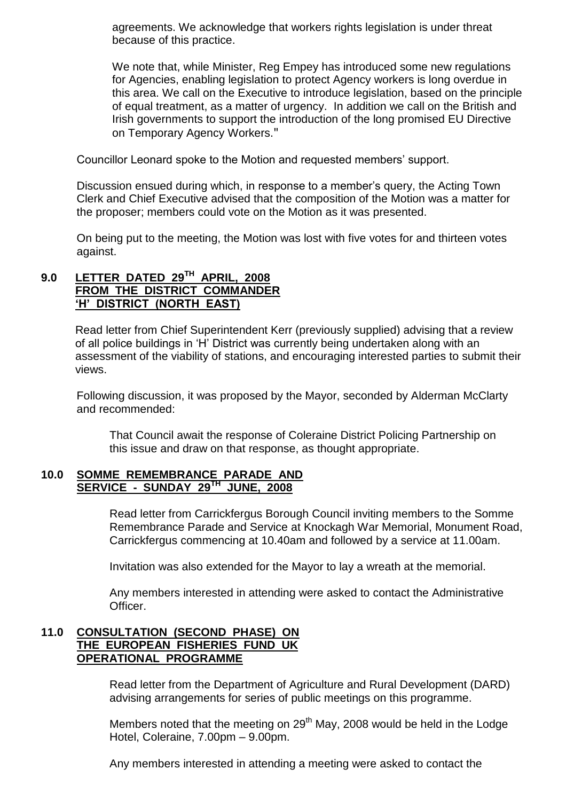agreements. We acknowledge that workers rights legislation is under threat because of this practice.

We note that, while Minister, Reg Empey has introduced some new regulations for Agencies, enabling legislation to protect Agency workers is long overdue in this area. We call on the Executive to introduce legislation, based on the principle of equal treatment, as a matter of urgency. In addition we call on the British and Irish governments to support the introduction of the long promised EU Directive on Temporary Agency Workers."

Councillor Leonard spoke to the Motion and requested members' support.

Discussion ensued during which, in response to a member's query, the Acting Town Clerk and Chief Executive advised that the composition of the Motion was a matter for the proposer; members could vote on the Motion as it was presented.

On being put to the meeting, the Motion was lost with five votes for and thirteen votes against.

# **9.0 LETTER DATED 29TH APRIL, 2008 FROM THE DISTRICT COMMANDER 'H'DISTRICT (NORTH EAST)**

Read letter from Chief Superintendent Kerr (previously supplied) advising that a review of all police buildings in 'H' District was currently being undertaken along with an assessment of the viability of stations, and encouraging interested parties to submit their views.

Following discussion, it was proposed by the Mayor, seconded by Alderman McClarty and recommended:

That Council await the response of Coleraine District Policing Partnership on this issue and draw on that response, as thought appropriate.

#### **10.0 SOMME REMEMBRANCE PARADE AND SERVICE - SUNDAY 29TH JUNE, 2008**

Read letter from Carrickfergus Borough Council inviting members to the Somme Remembrance Parade and Service at Knockagh War Memorial, Monument Road, Carrickfergus commencing at 10.40am and followed by a service at 11.00am.

Invitation was also extended for the Mayor to lay a wreath at the memorial.

Any members interested in attending were asked to contact the Administrative Officer.

#### **11.0 CONSULTATION (SECOND PHASE) ON THE EUROPEAN FISHERIES FUND UK OPERATIONAL PROGRAMME**

Read letter from the Department of Agriculture and Rural Development (DARD) advising arrangements for series of public meetings on this programme.

Members noted that the meeting on  $29<sup>th</sup>$  May, 2008 would be held in the Lodge Hotel, Coleraine, 7.00pm - 9.00pm.

Any members interested in attending a meeting were asked to contact the